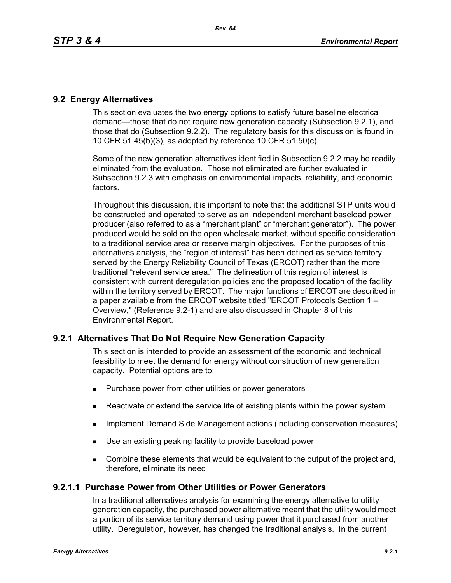# **9.2 Energy Alternatives**

This section evaluates the two energy options to satisfy future baseline electrical demand—those that do not require new generation capacity (Subsection 9.2.1), and those that do (Subsection 9.2.2). The regulatory basis for this discussion is found in 10 CFR 51.45(b)(3), as adopted by reference 10 CFR 51.50(c).

Some of the new generation alternatives identified in Subsection 9.2.2 may be readily eliminated from the evaluation. Those not eliminated are further evaluated in Subsection 9.2.3 with emphasis on environmental impacts, reliability, and economic factors.

Throughout this discussion, it is important to note that the additional STP units would be constructed and operated to serve as an independent merchant baseload power producer (also referred to as a "merchant plant" or "merchant generator"). The power produced would be sold on the open wholesale market, without specific consideration to a traditional service area or reserve margin objectives. For the purposes of this alternatives analysis, the "region of interest" has been defined as service territory served by the Energy Reliability Council of Texas (ERCOT) rather than the more traditional "relevant service area." The delineation of this region of interest is consistent with current deregulation policies and the proposed location of the facility within the territory served by ERCOT. The major functions of ERCOT are described in a paper available from the ERCOT website titled "ERCOT Protocols Section 1 – Overview," (Reference 9.2-1) and are also discussed in Chapter 8 of this Environmental Report.

# **9.2.1 Alternatives That Do Not Require New Generation Capacity**

This section is intended to provide an assessment of the economic and technical feasibility to meet the demand for energy without construction of new generation capacity. Potential options are to:

- **Purchase power from other utilities or power generators**
- Reactivate or extend the service life of existing plants within the power system
- **IMPLEMANGE CONSTRANGE MANAGEMENT ACTIONS** (including conservation measures)
- Use an existing peaking facility to provide baseload power
- **Combine these elements that would be equivalent to the output of the project and,** therefore, eliminate its need

# **9.2.1.1 Purchase Power from Other Utilities or Power Generators**

In a traditional alternatives analysis for examining the energy alternative to utility generation capacity, the purchased power alternative meant that the utility would meet a portion of its service territory demand using power that it purchased from another utility. Deregulation, however, has changed the traditional analysis. In the current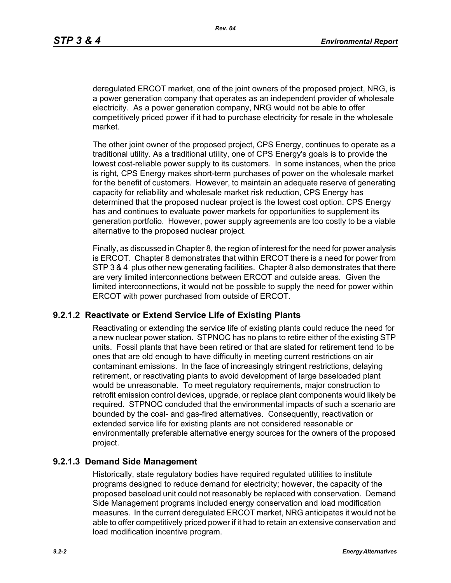deregulated ERCOT market, one of the joint owners of the proposed project, NRG, is a power generation company that operates as an independent provider of wholesale electricity. As a power generation company, NRG would not be able to offer competitively priced power if it had to purchase electricity for resale in the wholesale market.

The other joint owner of the proposed project, CPS Energy, continues to operate as a traditional utility. As a traditional utility, one of CPS Energy's goals is to provide the lowest cost-reliable power supply to its customers. In some instances, when the price is right, CPS Energy makes short-term purchases of power on the wholesale market for the benefit of customers. However, to maintain an adequate reserve of generating capacity for reliability and wholesale market risk reduction, CPS Energy has determined that the proposed nuclear project is the lowest cost option. CPS Energy has and continues to evaluate power markets for opportunities to supplement its generation portfolio. However, power supply agreements are too costly to be a viable alternative to the proposed nuclear project.

Finally, as discussed in Chapter 8, the region of interest for the need for power analysis is ERCOT. Chapter 8 demonstrates that within ERCOT there is a need for power from STP 3 & 4 plus other new generating facilities. Chapter 8 also demonstrates that there are very limited interconnections between ERCOT and outside areas. Given the limited interconnections, it would not be possible to supply the need for power within ERCOT with power purchased from outside of ERCOT.

## **9.2.1.2 Reactivate or Extend Service Life of Existing Plants**

Reactivating or extending the service life of existing plants could reduce the need for a new nuclear power station. STPNOC has no plans to retire either of the existing STP units. Fossil plants that have been retired or that are slated for retirement tend to be ones that are old enough to have difficulty in meeting current restrictions on air contaminant emissions. In the face of increasingly stringent restrictions, delaying retirement, or reactivating plants to avoid development of large baseloaded plant would be unreasonable. To meet regulatory requirements, major construction to retrofit emission control devices, upgrade, or replace plant components would likely be required. STPNOC concluded that the environmental impacts of such a scenario are bounded by the coal- and gas-fired alternatives. Consequently, reactivation or extended service life for existing plants are not considered reasonable or environmentally preferable alternative energy sources for the owners of the proposed project.

## **9.2.1.3 Demand Side Management**

Historically, state regulatory bodies have required regulated utilities to institute programs designed to reduce demand for electricity; however, the capacity of the proposed baseload unit could not reasonably be replaced with conservation. Demand Side Management programs included energy conservation and load modification measures. In the current deregulated ERCOT market, NRG anticipates it would not be able to offer competitively priced power if it had to retain an extensive conservation and load modification incentive program.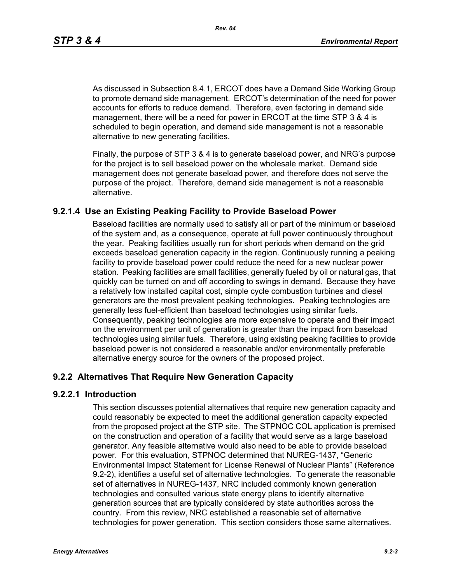As discussed in Subsection 8.4.1, ERCOT does have a Demand Side Working Group to promote demand side management. ERCOT's determination of the need for power accounts for efforts to reduce demand. Therefore, even factoring in demand side management, there will be a need for power in ERCOT at the time STP 3 & 4 is scheduled to begin operation, and demand side management is not a reasonable alternative to new generating facilities.

[Finally, the purpose of STP 3 & 4 is to generate baseload power, and NRG's purpose](http://www.eere.energy.gov/windandhydro/windpoweringamerica/pdfs/power_supply_guidebook.pdf)  for the project is to sell baseload power on the wholesale market. Demand side management does not generate baseload power, and therefore does not serve the purpose of the project. Therefore, demand side management is not a reasonable alternative.

# **9.2.1.4 Use an Existing Peaking Facility to Provide Baseload Power**

Baseload facilities are normally used to satisfy all or part of the minimum or baseload of the system and, as a consequence, operate at full power continuously throughout the year. Peaking facilities usually run for short periods when demand on the grid exceeds baseload generation capacity in the region. Continuously running a peaking facility to provide baseload power could reduce the need for a new nuclear power station. Peaking facilities are small facilities, generally fueled by oil or natural gas, that quickly can be turned on and off according to swings in demand. Because they have a relatively low installed capital cost, simple cycle combustion turbines and diesel generators are the most prevalent peaking technologies. Peaking technologies are generally less fuel-efficient than baseload technologies using similar fuels. Consequently, peaking technologies are more expensive to operate and their impact on the environment per unit of generation is greater than the impact from baseload technologies using similar fuels. Therefore, using existing peaking facilities to provide baseload power is not considered a reasonable and/or environmentally preferable alternative energy source for the owners of the proposed project.

# **9.2.2 Alternatives That Require New Generation Capacity**

## **9.2.2.1 Introduction**

This section discusses potential alternatives that require new generation capacity and could reasonably be expected to meet the additional generation capacity expected from the proposed project at the STP site. The STPNOC COL application is premised on the construction and operation of a facility that would serve as a large baseload generator. Any feasible alternative would also need to be able to provide baseload power. For this evaluation, STPNOC determined that NUREG-1437, "Generic Environmental Impact Statement for License Renewal of Nuclear Plants" (Reference 9.2-2), identifies a useful set of alternative technologies. To generate the reasonable set of alternatives in NUREG-1437, NRC included commonly known generation technologies and consulted various state energy plans to identify alternative generation sources that are typically considered by state authorities across the country. From this review, NRC established a reasonable set of alternative technologies for power generation. This section considers those same alternatives.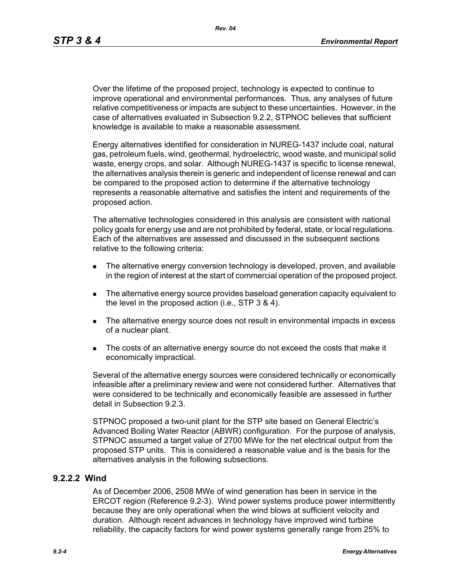Over the lifetime of the proposed project, technology is expected to continue to improve operational and environmental performances. Thus, any analyses of future relative competitiveness or impacts are subject to these uncertainties. However, in the case of alternatives evaluated in Subsection 9.2.2, STPNOC believes that sufficient knowledge is available to make a reasonable assessment.

Energy alternatives identified for consideration in NUREG-1437 include coal, natural gas, petroleum fuels, wind, geothermal, hydroelectric, wood waste, and municipal solid waste, energy crops, and solar. Although NUREG-1437 is specific to license renewal, the alternatives analysis therein is generic and independent of license renewal and can be compared to the proposed action to determine if the alternative technology represents a reasonable alternative and satisfies the intent and requirements of the proposed action.

The alternative technologies considered in this analysis are consistent with national policy goals for energy use and are not prohibited by federal, state, or local regulations. Each of the alternatives are assessed and discussed in the subsequent sections relative to the following criteria:

- **The alternative energy conversion technology is developed, proven, and available** in the region of interest at the start of commercial operation of the proposed project.
- The alternative energy source provides baseload generation capacity equivalent to the level in the proposed action (i.e., STP 3 & 4).
- The alternative energy source does not result in environmental impacts in excess of a nuclear plant.
- The costs of an alternative energy source do not exceed the costs that make it economically impractical.

Several of the alternative energy sources were considered technically or economically infeasible after a preliminary review and were not considered further. Alternatives that were considered to be technically and economically feasible are assessed in further detail in Subsection 9.2.3.

STPNOC proposed a two-unit plant for the STP site based on General Electric's Advanced Boiling Water Reactor (ABWR) configuration. For the purpose of analysis, STPNOC assumed a target value of 2700 MWe for the net electrical output from the proposed STP units. This is considered a reasonable value and is the basis for the alternatives analysis in the following subsections.

## **9.2.2.2 Wind**

As of December 2006, 2508 MWe of wind generation has been in service in the ERCOT region (Reference 9.2-3). Wind power systems produce power intermittently because they are only operational when the wind blows at sufficient velocity and duration. Although recent advances in technology have improved wind turbine reliability, the capacity factors for wind power systems generally range from 25% to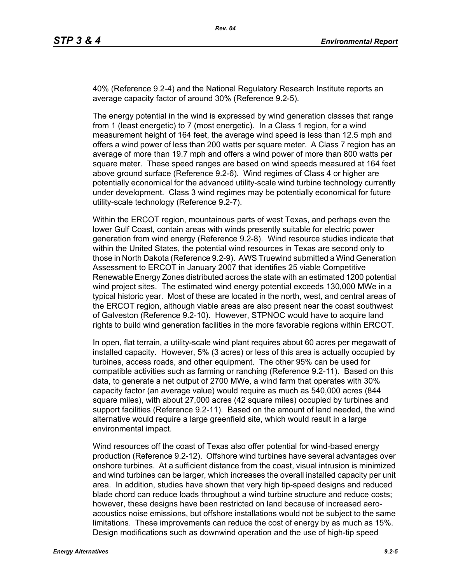40% (Reference 9.2-4) and the National Regulatory Research Institute reports an average capacity factor of around 30% (Reference 9.2-5).

The energy potential in the wind is expressed by wind generation classes that range from 1 (least energetic) to 7 (most energetic). In a Class 1 region, for a wind measurement height of 164 feet, the average wind speed is less than 12.5 mph and offers a wind power of less than 200 watts per square meter. A Class 7 region has an average of more than 19.7 mph and offers a wind power of more than 800 watts per square meter. These speed ranges are based on wind speeds measured at 164 feet above ground surface (Reference 9.2-6). Wind regimes of Class 4 or higher are potentially economical for the advanced utility-scale wind turbine technology currently under development. Class 3 wind regimes may be potentially economical for future utility-scale technology (Reference 9.2-7).

Within the ERCOT region, mountainous parts of west Texas, and perhaps even the lower Gulf Coast, contain areas with winds presently suitable for electric power generation from wind energy (Reference 9.2-8). Wind resource studies indicate that within the United States, the potential wind resources in Texas are second only to those in North Dakota (Reference 9.2-9). AWS Truewind submitted a Wind Generation Assessment to ERCOT in January 2007 that identifies 25 viable Competitive Renewable Energy Zones distributed across the state with an estimated 1200 potential wind project sites. The estimated wind energy potential exceeds 130,000 MWe in a typical historic year. Most of these are located in the north, west, and central areas of the ERCOT region, although viable areas are also present near the coast southwest of Galveston (Reference 9.2-10). However, STPNOC would have to acquire land rights to build wind generation facilities in the more favorable regions within ERCOT.

In open, flat terrain, a utility-scale wind plant requires about 60 acres per megawatt of installed capacity. However, 5% (3 acres) or less of this area is actually occupied by turbines, access roads, and other equipment. The other 95% can be used for compatible activities such as farming or ranching (Reference 9.2-11). Based on this data, to generate a net output of 2700 MWe, a wind farm that operates with 30% capacity factor (an average value) would require as much as 540,000 acres (844 square miles), with about 27,000 acres (42 square miles) occupied by turbines and support facilities (Reference 9.2-11). Based on the amount of land needed, the wind alternative would require a large greenfield site, which would result in a large environmental impact.

Wind resources off the coast of Texas also offer potential for wind-based energy production (Reference 9.2-12). Offshore wind turbines have several advantages over onshore turbines. At a sufficient distance from the coast, visual intrusion is minimized and wind turbines can be larger, which increases the overall installed capacity per unit area. In addition, studies have shown that very high tip-speed designs and reduced blade chord can reduce loads throughout a wind turbine structure and reduce costs; however, these designs have been restricted on land because of increased aeroacoustics noise emissions, but offshore installations would not be subject to the same limitations. These improvements can reduce the cost of energy by as much as 15%. Design modifications such as downwind operation and the use of high-tip speed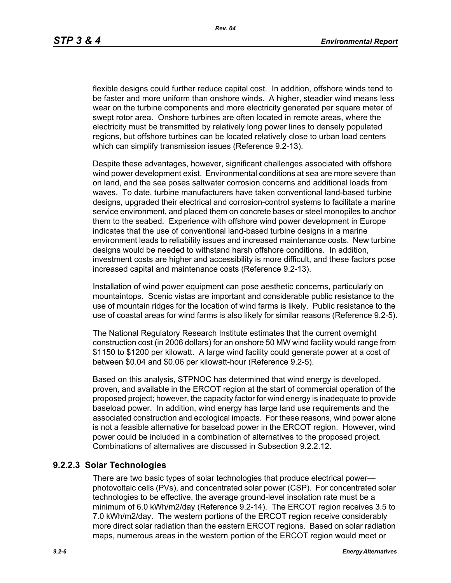flexible designs could further reduce capital cost. In addition, offshore winds tend to be faster and more uniform than onshore winds. A higher, steadier wind means less wear on the turbine components and more electricity generated per square meter of swept rotor area. Onshore turbines are often located in remote areas, where the electricity must be transmitted by relatively long power lines to densely populated regions, but offshore turbines can be located relatively close to urban load centers which can simplify transmission issues (Reference 9.2-13).

[Despite these advantages, however, significant challenges associated with offshore](http://www.nrri.ohio-state.edu/)  [wind power development exist. Environmental conditions at sea are more severe than](http://www.nrri.ohio-state.edu/)  on land, and the sea poses saltwater corrosion concerns and additional loads from waves. To date, turbine manufacturers have taken conventional land-based turbine designs, upgraded their electrical and corrosion-control systems to facilitate a marine service environment, and placed them on concrete bases or steel monopiles to anchor them to the seabed. Experience with offshore wind power development in Europe [indicates that the use of conventional land-based turbine designs in a marine](http://www.nrri.ohio-state.edu/)  [environment leads to reliability issues and increased maintenance costs. New turbine](http://www.nrri.ohio-state.edu/)  designs would be needed to withstand harsh offshore conditions. In addition, investment costs are higher and accessibility is more difficult, and these factors pose increased capital and maintenance costs (Reference 9.2-13).

Installation of wind power equipment can pose aesthetic concerns, particularly on mountaintops. Scenic vistas are important and considerable public resistance to the use of mountain ridges for the location of wind farms is likely. Public resistance to the use of coastal areas for wind farms is also likely for similar reasons (Reference 9.2-5).

The National Regulatory Research Institute estimates that the current overnight construction cost (in 2006 dollars) for an onshore 50 MW wind facility would range from \$1150 to \$1200 per kilowatt. A large wind facility could generate power at a cost of between \$0.04 and \$0.06 per kilowatt-hour (Reference 9.2-5).

Based on this analysis, STPNOC has determined that wind energy is developed, proven, and available in the ERCOT region at the start of commercial operation of the [proposed project; however, the capacity factor for wind energy is inadequate to provide](http://www.infinitepower.org/resgeothermal.htm)  baseload power. In addition, wind energy has large land use requirements and the associated construction and ecological impacts. For these reasons, wind power alone is not a feasible alternative for baseload power in the ERCOT region. However, wind power could be included in a combination of alternatives to the proposed project. Combinations of alternatives are discussed in Subsection 9.2.2.12.

# **9.2.2.3 Solar Technologies**

There are two basic types of solar technologies that produce electrical power photovoltaic cells (PVs), and concentrated solar power (CSP). For concentrated solar technologies to be effective, the average ground-level insolation rate must be a minimum of 6.0 kWh/m2/day (Reference 9.2-14). The ERCOT region receives 3.5 to 7.0 kWh/m2/day. The western portions of the ERCOT region receive considerably more direct solar radiation than the eastern ERCOT regions. Based on solar radiation maps, numerous areas in the western portion of the ERCOT region would meet or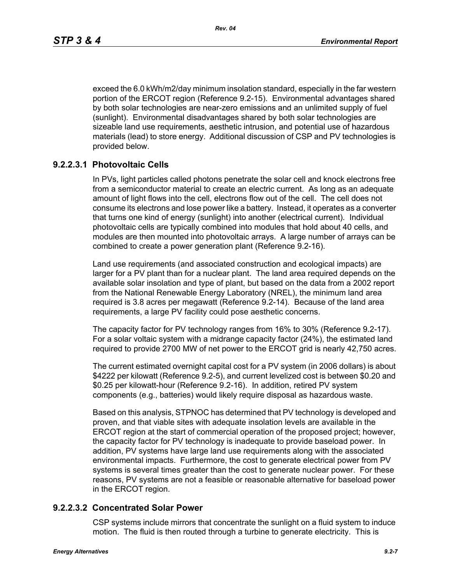exceed the 6.0 kWh/m2/day minimum insolation standard, especially in the far western portion of the ERCOT region (Reference 9.2-15). Environmental advantages shared by both solar technologies are near-zero emissions and an unlimited supply of fuel (sunlight). Environmental disadvantages shared by both solar technologies are sizeable land use requirements, aesthetic intrusion, and potential use of hazardous materials (lead) to store energy. Additional discussion of CSP and PV technologies is provided below.

# **9.2.2.3.1 Photovoltaic Cells**

In PVs, light particles called photons penetrate the solar cell and knock electrons free from a semiconductor material to create an electric current. As long as an adequate amount of light flows into the cell, electrons flow out of the cell. The cell does not consume its electrons and lose power like a battery. Instead, it operates as a converter that turns one kind of energy (sunlight) into another (electrical current). Individual photovoltaic cells are typically combined into modules that hold about 40 cells, and modules are then mounted into photovoltaic arrays. A large number of arrays can be combined to create a power generation plant (Reference 9.2-16).

Land use requirements (and associated construction and ecological impacts) are larger for a PV plant than for a nuclear plant. The land area required depends on the available solar insolation and type of plant, but based on the data from a 2002 report from the National Renewable Energy Laboratory (NREL), the minimum land area required is 3.8 acres per megawatt (Reference 9.2-14). Because of the land area requirements, a large PV facility could pose aesthetic concerns.

The capacity factor for PV technology ranges from 16% to 30% (Reference 9.2-17). For a solar voltaic system with a midrange capacity factor (24%), the estimated land required to provide 2700 MW of net power to the ERCOT grid is nearly 42,750 acres.

The current estimated overnight capital cost for a PV system (in 2006 dollars) is about \$4222 per kilowatt (Reference 9.2-5), and current levelized cost is between \$0.20 and \$0.25 per kilowatt-hour (Reference 9.2-16). In addition, retired PV system components (e.g., batteries) would likely require disposal as hazardous waste.

Based on this analysis, STPNOC has determined that PV technology is developed and proven, and that viable sites with adequate insolation levels are available in the ERCOT region at the start of commercial operation of the proposed project; however, the capacity factor for PV technology is inadequate to provide baseload power. In addition, PV systems have large land use requirements along with the associated environmental impacts. Furthermore, the cost to generate electrical power from PV systems is several times greater than the cost to generate nuclear power. For these reasons, PV systems are not a feasible or reasonable alternative for baseload power in the ERCOT region.

## **9.2.2.3.2 Concentrated Solar Power**

CSP systems include mirrors that concentrate the sunlight on a fluid system to induce motion. The fluid is then routed through a turbine to generate electricity. This is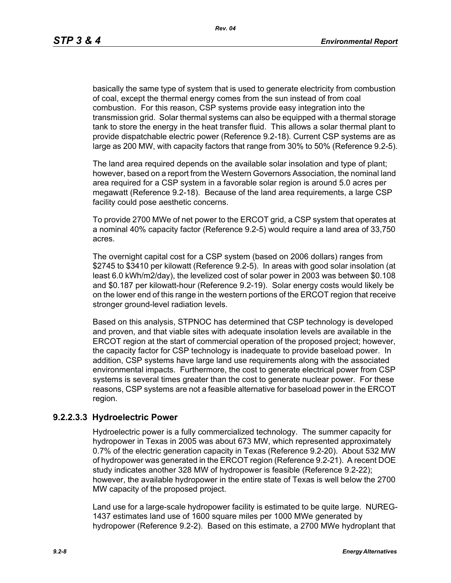basically the same type of system that is used to generate electricity from combustion of coal, except the thermal energy comes from the sun instead of from coal combustion. For this reason, CSP systems provide easy integration into the transmission grid. Solar thermal systems can also be equipped with a thermal storage tank to store the energy in the heat transfer fluid. This allows a solar thermal plant to provide dispatchable electric power (Reference 9.2-18). Current CSP systems are as large as 200 MW, with capacity factors that range from 30% to 50% (Reference 9.2-5).

The land area required depends on the available solar insolation and type of plant; however, based on a report from the Western Governors Association, the nominal land area required for a CSP system in a favorable solar region is around 5.0 acres per megawatt (Reference 9.2-18). Because of the land area requirements, a large CSP facility could pose aesthetic concerns.

To provide 2700 MWe of net power to the ERCOT grid, a CSP system that operates at a nominal 40% capacity factor (Reference 9.2-5) would require a land area of 33,750 acres.

The overnight capital cost for a CSP system (based on 2006 dollars) ranges from \$2745 to \$3410 per kilowatt (Reference 9.2-5). In areas with good solar insolation (at least 6.0 kWh/m2/day), the levelized cost of solar power in 2003 was between \$0.108 and \$0.187 per kilowatt-hour (Reference 9.2-19). Solar energy costs would likely be on the lower end of this range in the western portions of the ERCOT region that receive stronger ground-level radiation levels.

Based on this analysis, STPNOC has determined that CSP technology is developed and proven, and that viable sites with adequate insolation levels are available in the ERCOT region at the start of commercial operation of the proposed project; however, the capacity factor for CSP technology is inadequate to provide baseload power. In addition, CSP systems have large land use requirements along with the associated environmental impacts. Furthermore, the cost to generate electrical power from CSP systems is several times greater than the cost to generate nuclear power. For these reasons, CSP systems are not a feasible alternative for baseload power in the ERCOT region.

# **9.2.2.3.3 Hydroelectric Power**

Hydroelectric power is a fully commercialized technology. The summer capacity for hydropower in Texas in 2005 was about 673 MW, which represented approximately 0.7% of the electric generation capacity in Texas (Reference 9.2-20). About 532 MW of hydropower was generated in the ERCOT region (Reference 9.2-21). A recent DOE study indicates another 328 MW of hydropower is feasible (Reference 9.2-22); however, the available hydropower in the entire state of Texas is well below the 2700 MW capacity of the proposed project.

Land use for a large-scale hydropower facility is estimated to be quite large. NUREG-1437 estimates land use of 1600 square miles per 1000 MWe generated by hydropower (Reference 9.2-2). Based on this estimate, a 2700 MWe hydroplant that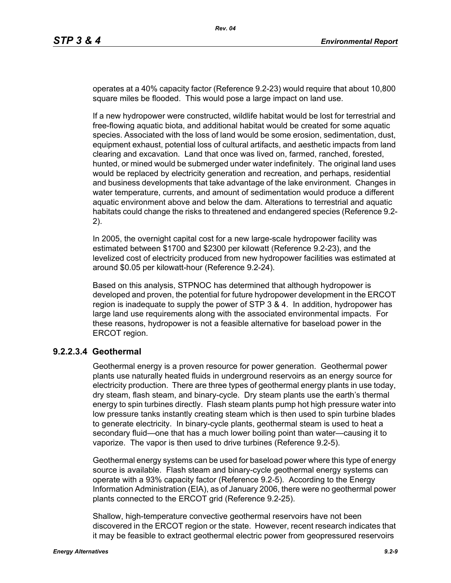operates at a 40% capacity factor (Reference 9.2-23) would require that about 10,800 square miles be flooded. This would pose a large impact on land use.

If a new hydropower were constructed, wildlife habitat would be lost for terrestrial and free-flowing aquatic biota, and additional habitat would be created for some aquatic species. Associated with the loss of land would be some erosion, sedimentation, dust, equipment exhaust, potential loss of cultural artifacts, and aesthetic impacts from land clearing and excavation. Land that once was lived on, farmed, ranched, forested, hunted, or mined would be submerged under water indefinitely. The original land uses would be replaced by electricity generation and recreation, and perhaps, residential and business developments that take advantage of the lake environment. Changes in water temperature, currents, and amount of sedimentation would produce a different aquatic environment above and below the dam. Alterations to terrestrial and aquatic habitats could change the risks to threatened and endangered species (Reference 9.2- 2).

In 2005, the overnight capital cost for a new large-scale hydropower facility was estimated between \$1700 and \$2300 per kilowatt (Reference 9.2-23), and the levelized cost of electricity produced from new hydropower facilities was estimated at around \$0.05 per kilowatt-hour (Reference 9.2-24).

Based on this analysis, STPNOC has determined that although hydropower is developed and proven, the potential for future hydropower development in the ERCOT region is inadequate to supply the power of STP 3 & 4. In addition, hydropower has large land use requirements along with the associated environmental impacts. For these reasons, hydropower is not a feasible alternative for baseload power in the ERCOT region.

## **9.2.2.3.4 Geothermal**

Geothermal energy is a proven resource for power generation. Geothermal power plants use naturally heated fluids in underground reservoirs as an energy source for electricity production. There are three types of geothermal energy plants in use today, dry steam, flash steam, and binary-cycle. Dry steam plants use the earth's thermal energy to spin turbines directly. Flash steam plants pump hot high pressure water into low pressure tanks instantly creating steam which is then used to spin turbine blades to generate electricity. In binary-cycle plants, geothermal steam is used to heat a secondary fluid—one that has a much lower boiling point than water—causing it to vaporize. The vapor is then used to drive turbines (Reference 9.2-5).

Geothermal energy systems can be used for baseload power where this type of energy source is available. Flash steam and binary-cycle geothermal energy systems can operate with a 93% capacity factor (Reference 9.2-5). According to the Energy Information Administration (EIA), as of January 2006, there were no geothermal power plants connected to the ERCOT grid (Reference 9.2-25).

Shallow, high-temperature convective geothermal reservoirs have not been discovered in the ERCOT region or the state. However, recent research indicates that it may be feasible to extract geothermal electric power from geopressured reservoirs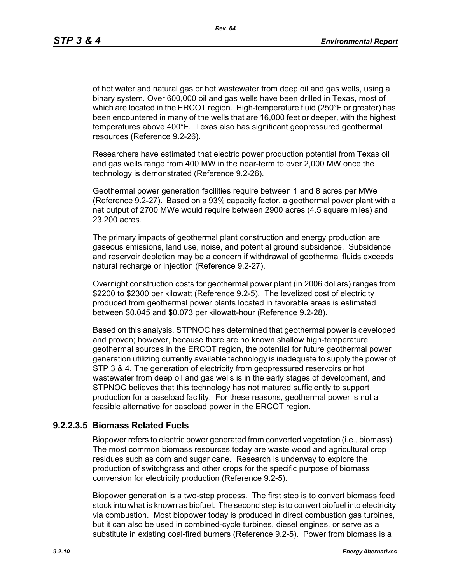of hot water and natural gas or hot wastewater from deep oil and gas wells, using a binary system. Over 600,000 oil and gas wells have been drilled in Texas, most of which are located in the ERCOT region. High-temperature fluid (250°F or greater) has been encountered in many of the wells that are 16,000 feet or deeper, with the highest temperatures above 400°F. Texas also has significant geopressured geothermal resources (Reference 9.2-26).

Researchers have estimated that electric power production potential from Texas oil and gas wells range from 400 MW in the near-term to over 2,000 MW once the technology is demonstrated (Reference 9.2-26).

Geothermal power generation facilities require between 1 and 8 acres per MWe (Reference 9.2-27). Based on a 93% capacity factor, a geothermal power plant with a net output of 2700 MWe would require between 2900 acres (4.5 square miles) and 23,200 acres.

The primary impacts of geothermal plant construction and energy production are gaseous emissions, land use, noise, and potential ground subsidence. Subsidence and reservoir depletion may be a concern if withdrawal of geothermal fluids exceeds natural recharge or injection (Reference 9.2-27).

Overnight construction costs for geothermal power plant (in 2006 dollars) ranges from \$2200 to \$2300 per kilowatt (Reference 9.2-5). The levelized cost of electricity produced from geothermal power plants located in favorable areas is estimated between \$0.045 and \$0.073 per kilowatt-hour (Reference 9.2-28).

Based on this analysis, STPNOC has determined that geothermal power is developed and proven; however, because there are no known shallow high-temperature geothermal sources in the ERCOT region, the potential for future geothermal power generation utilizing currently available technology is inadequate to supply the power of STP 3 & 4. The generation of electricity from geopressured reservoirs or hot wastewater from deep oil and gas wells is in the early stages of development, and STPNOC believes that this technology has not matured sufficiently to support production for a baseload facility. For these reasons, geothermal power is not a feasible alternative for baseload power in the ERCOT region.

# **9.2.2.3.5 Biomass Related Fuels**

Biopower refers to electric power generated from converted vegetation (i.e., biomass). The most common biomass resources today are waste wood and agricultural crop residues such as corn and sugar cane. Research is underway to explore the production of switchgrass and other crops for the specific purpose of biomass conversion for electricity production (Reference 9.2-5).

Biopower generation is a two-step process. The first step is to convert biomass feed stock into what is known as biofuel. The second step is to convert biofuel into electricity via combustion. Most biopower today is produced in direct combustion gas turbines, but it can also be used in combined-cycle turbines, diesel engines, or serve as a substitute in existing coal-fired burners (Reference 9.2-5). Power from biomass is a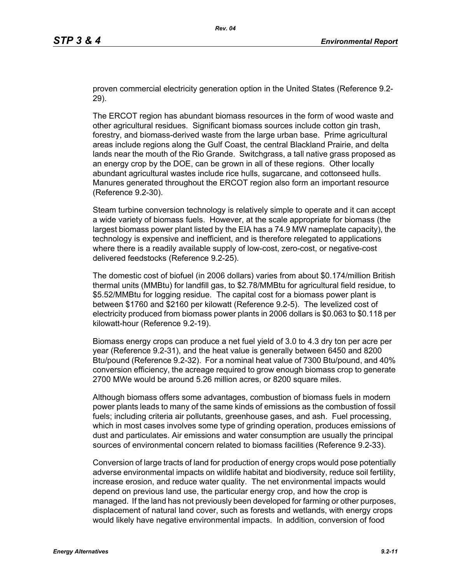proven commercial electricity generation option in the United States (Reference 9.2- 29).

The ERCOT region has abundant biomass resources in the form of wood waste and other agricultural residues. Significant biomass sources include cotton gin trash, forestry, and biomass-derived waste from the large urban base. Prime agricultural areas include regions along the Gulf Coast, the central Blackland Prairie, and delta lands near the mouth of the Rio Grande. Switchgrass, a tall native grass proposed as an energy crop by the DOE, can be grown in all of these regions. Other locally abundant agricultural wastes include rice hulls, sugarcane, and cottonseed hulls. Manures generated throughout the ERCOT region also form an important resource (Reference 9.2-30).

Steam turbine conversion technology is relatively simple to operate and it can accept a wide variety of biomass fuels. However, at the scale appropriate for biomass (the largest biomass power plant listed by the EIA has a 74.9 MW nameplate capacity), the technology is expensive and inefficient, and is therefore relegated to applications where there is a readily available supply of low-cost, zero-cost, or negative-cost delivered feedstocks (Reference 9.2-25).

The domestic cost of biofuel (in 2006 dollars) varies from about \$0.174/million British thermal units (MMBtu) for landfill gas, to \$2.78/MMBtu for agricultural field residue, to \$5.52/MMBtu for logging residue. The capital cost for a biomass power plant is between \$1760 and \$2160 per kilowatt (Reference 9.2-5). The levelized cost of electricity produced from biomass power plants in 2006 dollars is \$0.063 to \$0.118 per kilowatt-hour (Reference 9.2-19).

Biomass energy crops can produce a net fuel yield of 3.0 to 4.3 dry ton per acre per year (Reference 9.2-31), and the heat value is generally between 6450 and 8200 Btu/pound (Reference 9.2-32). For a nominal heat value of 7300 Btu/pound, and 40% conversion efficiency, the acreage required to grow enough biomass crop to generate 2700 MWe would be around 5.26 million acres, or 8200 square miles.

Although biomass offers some advantages, combustion of biomass fuels in modern power plants leads to many of the same kinds of emissions as the combustion of fossil fuels; including criteria air pollutants, greenhouse gases, and ash. Fuel processing, which in most cases involves some type of grinding operation, produces emissions of dust and particulates. Air emissions and water consumption are usually the principal sources of environmental concern related to biomass facilities (Reference 9.2-33).

Conversion of large tracts of land for production of energy crops would pose potentially adverse environmental impacts on wildlife habitat and biodiversity, reduce soil fertility, increase erosion, and reduce water quality. The net environmental impacts would depend on previous land use, the particular energy crop, and how the crop is managed. If the land has not previously been developed for farming or other purposes, displacement of natural land cover, such as forests and wetlands, with energy crops would likely have negative environmental impacts. In addition, conversion of food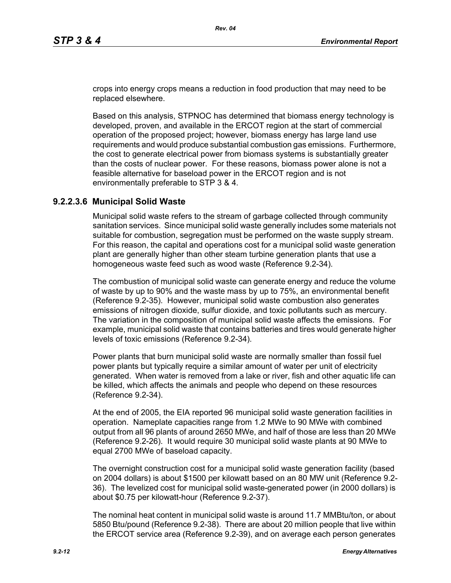crops into energy crops means a reduction in food production that may need to be replaced elsewhere.

Based on this analysis, STPNOC has determined that biomass energy technology is developed, proven, and available in the ERCOT region at the start of commercial operation of the proposed project; however, biomass energy has large land use requirements and would produce substantial combustion gas emissions. Furthermore, the cost to generate electrical power from biomass systems is substantially greater than the costs of nuclear power. For these reasons, biomass power alone is not a feasible alternative for baseload power in the ERCOT region and is not environmentally preferable to STP 3 & 4.

## **9.2.2.3.6 Municipal Solid Waste**

Municipal solid waste refers to the stream of garbage collected through community sanitation services. Since municipal solid waste generally includes some materials not suitable for combustion, segregation must be performed on the waste supply stream. For this reason, the capital and operations cost for a municipal solid waste generation plant are generally higher than other steam turbine generation plants that use a homogeneous waste feed such as wood waste (Reference 9.2-34).

The combustion of municipal solid waste can generate energy and reduce the volume of waste by up to 90% and the waste mass by up to 75%, an environmental benefit (Reference 9.2-35). However, municipal solid waste combustion also generates emissions of nitrogen dioxide, sulfur dioxide, and toxic pollutants such as mercury. The variation in the composition of municipal solid waste affects the emissions. For example, municipal solid waste that contains batteries and tires would generate higher levels of toxic emissions (Reference 9.2-34).

Power plants that burn municipal solid waste are normally smaller than fossil fuel power plants but typically require a similar amount of water per unit of electricity generated. When water is removed from a lake or river, fish and other aquatic life can be killed, which affects the animals and people who depend on these resources (Reference 9.2-34).

At the end of 2005, the EIA reported 96 municipal solid waste generation facilities in operation. Nameplate capacities range from 1.2 MWe to 90 MWe with combined output from all 96 plants of around 2650 MWe, and half of those are less than 20 MWe (Reference 9.2-26). It would require 30 municipal solid waste plants at 90 MWe to equal 2700 MWe of baseload capacity.

The overnight construction cost for a municipal solid waste generation facility (based on 2004 dollars) is about \$1500 per kilowatt based on an 80 MW unit (Reference 9.2- 36). The levelized cost for municipal solid waste-generated power (in 2000 dollars) is about \$0.75 per kilowatt-hour (Reference 9.2-37).

The nominal heat content in municipal solid waste is around 11.7 MMBtu/ton, or about 5850 Btu/pound (Reference 9.2-38). There are about 20 million people that live within the ERCOT service area (Reference 9.2-39), and on average each person generates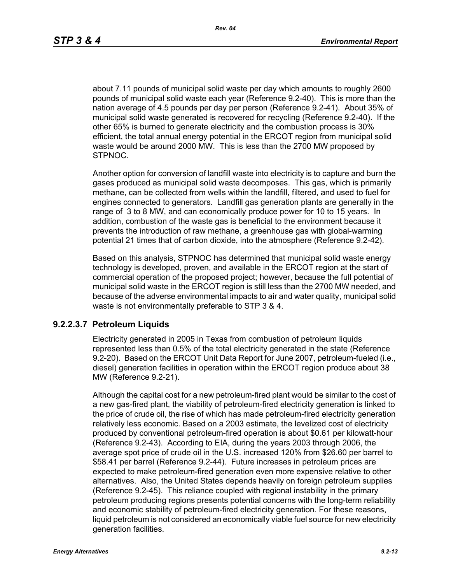about 7.11 pounds of municipal solid waste per day which amounts to roughly 2600 pounds of municipal solid waste each year (Reference 9.2-40). This is more than the nation average of 4.5 pounds per day per person (Reference 9.2-41). About 35% of municipal solid waste generated is recovered for recycling (Reference 9.2-40). If the other 65% is burned to generate electricity and the combustion process is 30% efficient, the total annual energy potential in the ERCOT region from municipal solid waste would be around 2000 MW. This is less than the 2700 MW proposed by STPNOC.

Another option for conversion of landfill waste into electricity is to capture and burn the gases produced as municipal solid waste decomposes. This gas, which is primarily methane, can be collected from wells within the landfill, filtered, and used to fuel for engines connected to generators. Landfill gas generation plants are generally in the range of 3 to 8 MW, and can economically produce power for 10 to 15 years. In addition, combustion of the waste gas is beneficial to the environment because it prevents the introduction of raw methane, a greenhouse gas with global-warming potential 21 times that of carbon dioxide, into the atmosphere (Reference 9.2-42).

Based on this analysis, STPNOC has determined that municipal solid waste energy technology is developed, proven, and available in the ERCOT region at the start of commercial operation of the proposed project; however, because the full potential of municipal solid waste in the ERCOT region is still less than the 2700 MW needed, and because of the adverse environmental impacts to air and water quality, municipal solid waste is not environmentally preferable to STP 3 & 4.

## **9.2.2.3.7 Petroleum Liquids**

Electricity generated in 2005 in Texas from combustion of petroleum liquids represented less than 0.5% of the total electricity generated in the state (Reference 9.2-20). Based on the ERCOT Unit Data Report for June 2007, petroleum-fueled (i.e., diesel) generation facilities in operation within the ERCOT region produce about 38 MW (Reference 9.2-21).

Although the capital cost for a new petroleum-fired plant would be similar to the cost of a new gas-fired plant, the viability of petroleum-fired electricity generation is linked to the price of crude oil, the rise of which has made petroleum-fired electricity generation relatively less economic. Based on a 2003 estimate, the levelized cost of electricity produced by conventional petroleum-fired operation is about \$0.61 per kilowatt-hour (Reference 9.2-43). According to EIA, during the years 2003 through 2006, the average spot price of crude oil in the U.S. increased 120% from \$26.60 per barrel to \$58.41 per barrel (Reference 9.2-44). Future increases in petroleum prices are expected to make petroleum-fired generation even more expensive relative to other alternatives. Also, the United States depends heavily on foreign petroleum supplies (Reference 9.2-45). This reliance coupled with regional instability in the primary petroleum producing regions presents potential concerns with the long-term reliability and economic stability of petroleum-fired electricity generation. For these reasons, liquid petroleum is not considered an economically viable fuel source for new electricity generation facilities.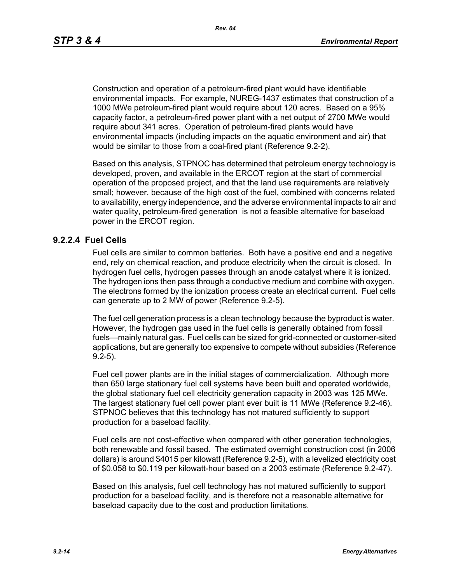Construction and operation of a petroleum-fired plant would have identifiable environmental impacts. For example, NUREG-1437 estimates that construction of a 1000 MWe petroleum-fired plant would require about 120 acres. Based on a 95% capacity factor, a petroleum-fired power plant with a net output of 2700 MWe would require about 341 acres. Operation of petroleum-fired plants would have environmental impacts (including impacts on the aquatic environment and air) that would be similar to those from a coal-fired plant (Reference 9.2-2).

Based on this analysis, STPNOC has determined that petroleum energy technology is developed, proven, and available in the ERCOT region at the start of commercial operation of the proposed project, and that the land use requirements are relatively small; however, because of the high cost of the fuel, combined with concerns related to availability, energy independence, and the adverse environmental impacts to air and water quality, petroleum-fired generation is not a feasible alternative for baseload power in the ERCOT region.

#### **9.2.2.4 Fuel Cells**

Fuel cells are similar to common batteries. Both have a positive end and a negative end, rely on chemical reaction, and produce electricity when the circuit is closed. In hydrogen fuel cells, hydrogen passes through an anode catalyst where it is ionized. The hydrogen ions then pass through a conductive medium and combine with oxygen. The electrons formed by the ionization process create an electrical current. Fuel cells can generate up to 2 MW of power (Reference 9.2-5).

The fuel cell generation process is a clean technology because the byproduct is water. However, the hydrogen gas used in the fuel cells is generally obtained from fossil fuels—mainly natural gas. Fuel cells can be sized for grid-connected or customer-sited applications, but are generally too expensive to compete without subsidies (Reference 9.2-5).

Fuel cell power plants are in the initial stages of commercialization. Although more than 650 large stationary fuel cell systems have been built and operated worldwide, the global stationary fuel cell electricity generation capacity in 2003 was 125 MWe. The largest stationary fuel cell power plant ever built is 11 MWe (Reference 9.2-46). STPNOC believes that this technology has not matured sufficiently to support production for a baseload facility.

Fuel cells are not cost-effective when compared with other generation technologies, both renewable and fossil based. The estimated overnight construction cost (in 2006 dollars) is around \$4015 per kilowatt (Reference 9.2-5), with a levelized electricity cost of \$0.058 to \$0.119 per kilowatt-hour based on a 2003 estimate (Reference 9.2-47).

Based on this analysis, fuel cell technology has not matured sufficiently to support production for a baseload facility, and is therefore not a reasonable alternative for baseload capacity due to the cost and production limitations.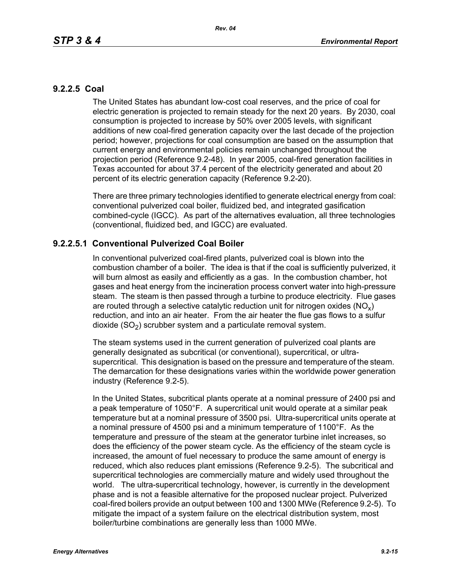# **9.2.2.5 Coal**

The United States has abundant low-cost coal reserves, and the price of coal for electric generation is projected to remain steady for the next 20 years. By 2030, coal consumption is projected to increase by 50% over 2005 levels, with significant additions of new coal-fired generation capacity over the last decade of the projection period; however, projections for coal consumption are based on the assumption that current energy and environmental policies remain unchanged throughout the projection period (Reference 9.2-48). In year 2005, coal-fired generation facilities in Texas accounted for about 37.4 percent of the electricity generated and about 20 percent of its electric generation capacity (Reference 9.2-20).

There are three primary technologies identified to generate electrical energy from coal: conventional pulverized coal boiler, fluidized bed, and integrated gasification combined-cycle (IGCC). As part of the alternatives evaluation, all three technologies (conventional, fluidized bed, and IGCC) are evaluated.

# **9.2.2.5.1 Conventional Pulverized Coal Boiler**

In conventional pulverized coal-fired plants, pulverized coal is blown into the combustion chamber of a boiler. The idea is that if the coal is sufficiently pulverized, it will burn almost as easily and efficiently as a gas. In the combustion chamber, hot gases and heat energy from the incineration process convert water into high-pressure steam. The steam is then passed through a turbine to produce electricity. Flue gases are routed through a selective catalytic reduction unit for nitrogen oxides ( $NO<sub>v</sub>$ ) reduction, and into an air heater. From the air heater the flue gas flows to a sulfur dioxide  $(SO<sub>2</sub>)$  scrubber system and a particulate removal system.

The steam systems used in the current generation of pulverized coal plants are generally designated as subcritical (or conventional), supercritical, or ultrasupercritical. This designation is based on the pressure and temperature of the steam. The demarcation for these designations varies within the worldwide power generation industry (Reference 9.2-5).

In the United States, subcritical plants operate at a nominal pressure of 2400 psi and a peak temperature of 1050°F. A supercritical unit would operate at a similar peak temperature but at a nominal pressure of 3500 psi. Ultra-supercritical units operate at a nominal pressure of 4500 psi and a minimum temperature of 1100°F. As the temperature and pressure of the steam at the generator turbine inlet increases, so does the efficiency of the power steam cycle. As the efficiency of the steam cycle is increased, the amount of fuel necessary to produce the same amount of energy is reduced, which also reduces plant emissions (Reference 9.2-5). The subcritical and supercritical technologies are commercially mature and widely used throughout the world. The ultra-supercritical technology, however, is currently in the development phase and is not a feasible alternative for the proposed nuclear project. Pulverized coal-fired boilers provide an output between 100 and 1300 MWe (Reference 9.2-5). To mitigate the impact of a system failure on the electrical distribution system, most boiler/turbine combinations are generally less than 1000 MWe.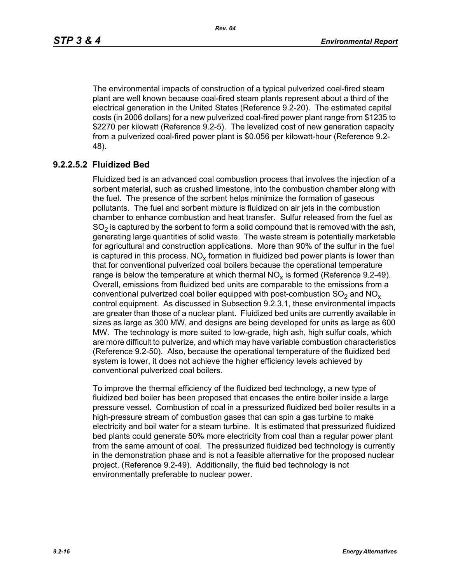The environmental impacts of construction of a typical pulverized coal-fired steam plant are well known because coal-fired steam plants represent about a third of the electrical generation in the United States (Reference 9.2-20). The estimated capital costs (in 2006 dollars) for a new pulverized coal-fired power plant range from \$1235 to \$2270 per kilowatt (Reference 9.2-5). The levelized cost of new generation capacity from a pulverized coal-fired power plant is \$0.056 per kilowatt-hour (Reference 9.2- 48).

# **9.2.2.5.2 Fluidized Bed**

Fluidized bed is an advanced coal combustion process that involves the injection of a sorbent material, such as crushed limestone, into the combustion chamber along with the fuel. The presence of the sorbent helps minimize the formation of gaseous pollutants. The fuel and sorbent mixture is fluidized on air jets in the combustion chamber to enhance combustion and heat transfer. Sulfur released from the fuel as  $SO<sub>2</sub>$  is captured by the sorbent to form a solid compound that is removed with the ash, generating large quantities of solid waste. The waste stream is potentially marketable for agricultural and construction applications. More than 90% of the sulfur in the fuel is captured in this process.  $NO_{v}$  formation in fluidized bed power plants is lower than that for conventional pulverized coal boilers because the operational temperature range is below the temperature at which thermal  $NO<sub>x</sub>$  is formed (Reference 9.2-49). Overall, emissions from fluidized bed units are comparable to the emissions from a conventional pulverized coal boiler equipped with post-combustion  $SO<sub>2</sub>$  and  $NO<sub>x</sub>$ control equipment. As discussed in Subsection 9.2.3.1, these environmental impacts are greater than those of a nuclear plant. Fluidized bed units are currently available in sizes as large as 300 MW, and designs are being developed for units as large as 600 MW. The technology is more suited to low-grade, high ash, high sulfur coals, which are more difficult to pulverize, and which may have variable combustion characteristics (Reference 9.2-50). Also, because the operational temperature of the fluidized bed system is lower, it does not achieve the higher efficiency levels achieved by conventional pulverized coal boilers.

To improve the thermal efficiency of the fluidized bed technology, a new type of fluidized bed boiler has been proposed that encases the entire boiler inside a large pressure vessel. Combustion of coal in a pressurized fluidized bed boiler results in a high-pressure stream of combustion gases that can spin a gas turbine to make electricity and boil water for a steam turbine. It is estimated that pressurized fluidized bed plants could generate 50% more electricity from coal than a regular power plant from the same amount of coal. The pressurized fluidized bed technology is currently in the demonstration phase and is not a feasible alternative for the proposed nuclear project. (Reference 9.2-49). Additionally, the fluid bed technology is not environmentally preferable to nuclear power.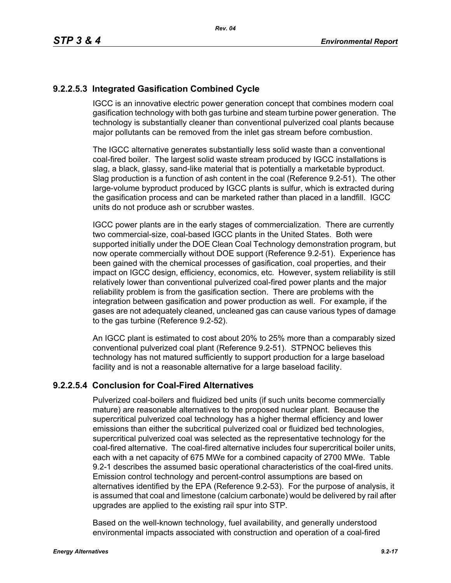# **9.2.2.5.3 Integrated Gasification Combined Cycle**

IGCC is an innovative electric power generation concept that combines modern coal gasification technology with both gas turbine and steam turbine power generation. The technology is substantially cleaner than conventional pulverized coal plants because major pollutants can be removed from the inlet gas stream before combustion.

The IGCC alternative generates substantially less solid waste than a conventional coal-fired boiler. The largest solid waste stream produced by IGCC installations is slag, a black, glassy, sand-like material that is potentially a marketable byproduct. Slag production is a function of ash content in the coal (Reference 9.2-51). The other large-volume byproduct produced by IGCC plants is sulfur, which is extracted during the gasification process and can be marketed rather than placed in a landfill. IGCC units do not produce ash or scrubber wastes.

IGCC power plants are in the early stages of commercialization. There are currently two commercial-size, coal-based IGCC plants in the United States. Both were supported initially under the DOE Clean Coal Technology demonstration program, but now operate commercially without DOE support (Reference 9.2-51). Experience has been gained with the chemical processes of gasification, coal properties, and their impact on IGCC design, efficiency, economics, etc. However, system reliability is still relatively lower than conventional pulverized coal-fired power plants and the major reliability problem is from the gasification section. There are problems with the integration between gasification and power production as well. For example, if the gases are not adequately cleaned, uncleaned gas can cause various types of damage to the gas turbine (Reference 9.2-52).

An IGCC plant is estimated to cost about 20% to 25% more than a comparably sized conventional pulverized coal plant (Reference 9.2-51). STPNOC believes this technology has not matured sufficiently to support production for a large baseload facility and is not a reasonable alternative for a large baseload facility.

# **9.2.2.5.4 Conclusion for Coal-Fired Alternatives**

Pulverized coal-boilers and fluidized bed units (if such units become commercially mature) are reasonable alternatives to the proposed nuclear plant. Because the supercritical pulverized coal technology has a higher thermal efficiency and lower emissions than either the subcritical pulverized coal or fluidized bed technologies, supercritical pulverized coal was selected as the representative technology for the coal-fired alternative. The coal-fired alternative includes four supercritical boiler units, each with a net capacity of 675 MWe for a combined capacity of 2700 MWe. Table 9.2-1 describes the assumed basic operational characteristics of the coal-fired units. Emission control technology and percent-control assumptions are based on alternatives identified by the EPA (Reference 9.2-53). For the purpose of analysis, it is assumed that coal and limestone (calcium carbonate) would be delivered by rail after upgrades are applied to the existing rail spur into STP.

Based on the well-known technology, fuel availability, and generally understood environmental impacts associated with construction and operation of a coal-fired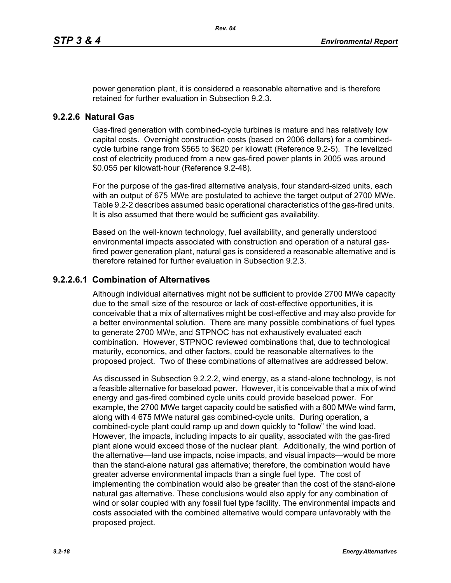power generation plant, it is considered a reasonable alternative and is therefore retained for further evaluation in Subsection 9.2.3.

#### **9.2.2.6 Natural Gas**

Gas-fired generation with combined-cycle turbines is mature and has relatively low capital costs. Overnight construction costs (based on 2006 dollars) for a combinedcycle turbine range from \$565 to \$620 per kilowatt (Reference 9.2-5). The levelized cost of electricity produced from a new gas-fired power plants in 2005 was around \$0.055 per kilowatt-hour (Reference 9.2-48).

For the purpose of the gas-fired alternative analysis, four standard-sized units, each with an output of 675 MWe are postulated to achieve the target output of 2700 MWe. Table 9.2-2 describes assumed basic operational characteristics of the gas-fired units. It is also assumed that there would be sufficient gas availability.

Based on the well-known technology, fuel availability, and generally understood environmental impacts associated with construction and operation of a natural gasfired power generation plant, natural gas is considered a reasonable alternative and is therefore retained for further evaluation in Subsection 9.2.3.

## **9.2.2.6.1 Combination of Alternatives**

Although individual alternatives might not be sufficient to provide 2700 MWe capacity due to the small size of the resource or lack of cost-effective opportunities, it is conceivable that a mix of alternatives might be cost-effective and may also provide for a better environmental solution. There are many possible combinations of fuel types to generate 2700 MWe, and STPNOC has not exhaustively evaluated each combination. However, STPNOC reviewed combinations that, due to technological maturity, economics, and other factors, could be reasonable alternatives to the proposed project. Two of these combinations of alternatives are addressed below.

As discussed in Subsection 9.2.2.2, wind energy, as a stand-alone technology, is not a feasible alternative for baseload power. However, it is conceivable that a mix of wind energy and gas-fired combined cycle units could provide baseload power. For example, the 2700 MWe target capacity could be satisfied with a 600 MWe wind farm, along with 4 675 MWe natural gas combined-cycle units. During operation, a combined-cycle plant could ramp up and down quickly to "follow" the wind load. However, the impacts, including impacts to air quality, associated with the gas-fired plant alone would exceed those of the nuclear plant. Additionally, the wind portion of the alternative—land use impacts, noise impacts, and visual impacts—would be more than the stand-alone natural gas alternative; therefore, the combination would have greater adverse environmental impacts than a single fuel type. The cost of implementing the combination would also be greater than the cost of the stand-alone natural gas alternative. These conclusions would also apply for any combination of wind or solar coupled with any fossil fuel type facility. The environmental impacts and costs associated with the combined alternative would compare unfavorably with the proposed project.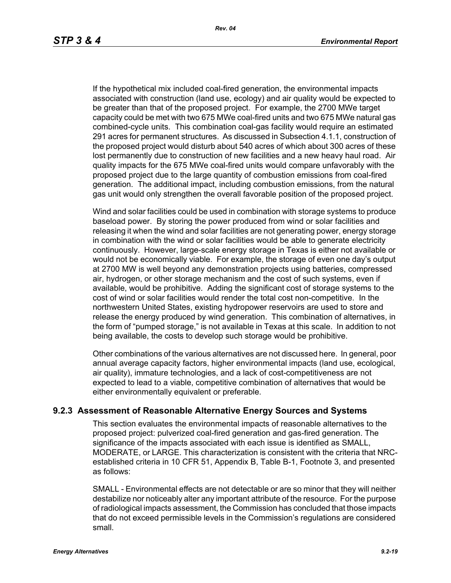If the hypothetical mix included coal-fired generation, the environmental impacts associated with construction (land use, ecology) and air quality would be expected to be greater than that of the proposed project. For example, the 2700 MWe target capacity could be met with two 675 MWe coal-fired units and two 675 MWe natural gas combined-cycle units. This combination coal-gas facility would require an estimated 291 acres for permanent structures. As discussed in Subsection 4.1.1, construction of the proposed project would disturb about 540 acres of which about 300 acres of these lost permanently due to construction of new facilities and a new heavy haul road. Air quality impacts for the 675 MWe coal-fired units would compare unfavorably with the proposed project due to the large quantity of combustion emissions from coal-fired generation. The additional impact, including combustion emissions, from the natural gas unit would only strengthen the overall favorable position of the proposed project.

Wind and solar facilities could be used in combination with storage systems to produce baseload power. By storing the power produced from wind or solar facilities and releasing it when the wind and solar facilities are not generating power, energy storage in combination with the wind or solar facilities would be able to generate electricity continuously. However, large-scale energy storage in Texas is either not available or would not be economically viable. For example, the storage of even one day's output at 2700 MW is well beyond any demonstration projects using batteries, compressed air, hydrogen, or other storage mechanism and the cost of such systems, even if available, would be prohibitive. Adding the significant cost of storage systems to the cost of wind or solar facilities would render the total cost non-competitive. In the northwestern United States, existing hydropower reservoirs are used to store and release the energy produced by wind generation. This combination of alternatives, in the form of "pumped storage," is not available in Texas at this scale. In addition to not being available, the costs to develop such storage would be prohibitive.

Other combinations of the various alternatives are not discussed here. In general, poor annual average capacity factors, higher environmental impacts (land use, ecological, air quality), immature technologies, and a lack of cost-competitiveness are not expected to lead to a viable, competitive combination of alternatives that would be either environmentally equivalent or preferable.

## **9.2.3 Assessment of Reasonable Alternative Energy Sources and Systems**

This section evaluates the environmental impacts of reasonable alternatives to the proposed project: pulverized coal-fired generation and gas-fired generation. The significance of the impacts associated with each issue is identified as SMALL, MODERATE, or LARGE. This characterization is consistent with the criteria that NRCestablished criteria in 10 CFR 51, Appendix B, Table B-1, Footnote 3, and presented as follows:

SMALL - Environmental effects are not detectable or are so minor that they will neither destabilize nor noticeably alter any important attribute of the resource. For the purpose of radiological impacts assessment, the Commission has concluded that those impacts that do not exceed permissible levels in the Commission's regulations are considered small.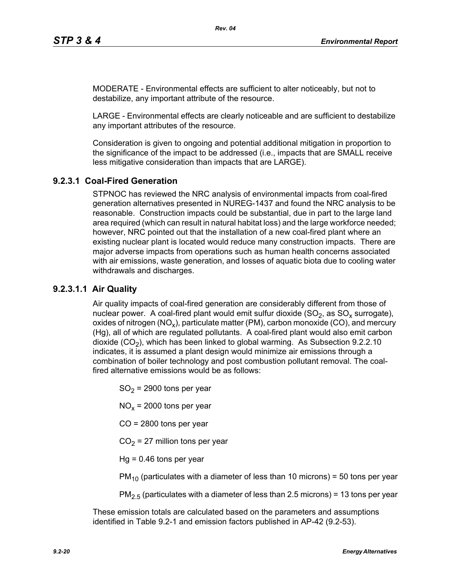MODERATE - Environmental effects are sufficient to alter noticeably, but not to destabilize, any important attribute of the resource.

LARGE - Environmental effects are clearly noticeable and are sufficient to destabilize any important attributes of the resource.

Consideration is given to ongoing and potential additional mitigation in proportion to the significance of the impact to be addressed (i.e., impacts that are SMALL receive less mitigative consideration than impacts that are LARGE).

# **9.2.3.1 Coal-Fired Generation**

STPNOC has reviewed the NRC analysis of environmental impacts from coal-fired generation alternatives presented in NUREG-1437 and found the NRC analysis to be reasonable. Construction impacts could be substantial, due in part to the large land area required (which can result in natural habitat loss) and the large workforce needed; however, NRC pointed out that the installation of a new coal-fired plant where an existing nuclear plant is located would reduce many construction impacts. There are major adverse impacts from operations such as human health concerns associated with air emissions, waste generation, and losses of aquatic biota due to cooling water withdrawals and discharges.

# **9.2.3.1.1 Air Quality**

Air quality impacts of coal-fired generation are considerably different from those of nuclear power. A coal-fired plant would emit sulfur dioxide  $(SO<sub>2</sub>)$ , as  $SO<sub>x</sub>$  surrogate), oxides of nitrogen (NO<sub>x</sub>), particulate matter (PM), carbon monoxide (CO), and mercury (Hg), all of which are regulated pollutants. A coal-fired plant would also emit carbon dioxide  $(CO<sub>2</sub>)$ , which has been linked to global warming. As Subsection 9.2.2.10 indicates, it is assumed a plant design would minimize air emissions through a combination of boiler technology and post combustion pollutant removal. The coalfired alternative emissions would be as follows:

 $SO<sub>2</sub>$  = 2900 tons per year

 $NO<sub>x</sub>$  = 2000 tons per year

CO = 2800 tons per year

 $CO<sub>2</sub> = 27$  million tons per year

 $Hq = 0.46$  tons per year

 $PM_{10}$  (particulates with a diameter of less than 10 microns) = 50 tons per year

 $PM<sub>2.5</sub>$  (particulates with a diameter of less than 2.5 microns) = 13 tons per year

These emission totals are calculated based on the parameters and assumptions identified in Table 9.2-1 and emission factors published in AP-42 (9.2-53).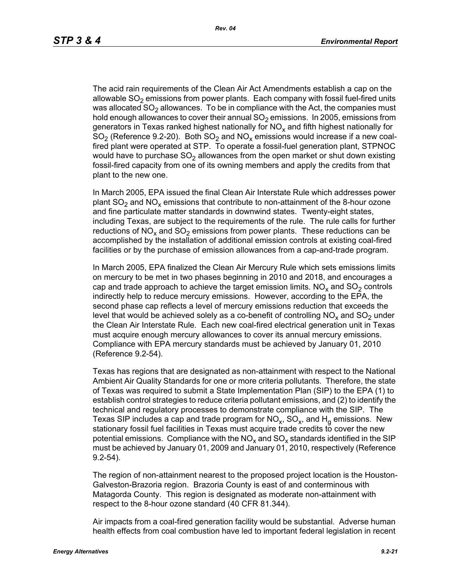The acid rain requirements of the Clean Air Act Amendments establish a cap on the allowable  $SO<sub>2</sub>$  emissions from power plants. Each company with fossil fuel-fired units was allocated  $SO<sub>2</sub>$  allowances. To be in compliance with the Act, the companies must hold enough allowances to cover their annual  $SO<sub>2</sub>$  emissions. In 2005, emissions from generators in Texas ranked highest nationally for  $NO<sub>x</sub>$  and fifth highest nationally for  $SO<sub>2</sub>$  (Reference 9.2-20). Both  $SO<sub>2</sub>$  and  $NO<sub>x</sub>$  emissions would increase if a new coalfired plant were operated at STP. To operate a fossil-fuel generation plant, STPNOC would have to purchase  $SO<sub>2</sub>$  allowances from the open market or shut down existing fossil-fired capacity from one of its owning members and apply the credits from that plant to the new one.

In March 2005, EPA issued the final Clean Air Interstate Rule which addresses power plant  $SO_2$  and  $NO_x$  emissions that contribute to non-attainment of the 8-hour ozone and fine particulate matter standards in downwind states. Twenty-eight states, including Texas, are subject to the requirements of the rule. The rule calls for further reductions of NO<sub>x</sub> and SO<sub>2</sub> emissions from power plants. These reductions can be accomplished by the installation of additional emission controls at existing coal-fired facilities or by the purchase of emission allowances from a cap-and-trade program.

In March 2005, EPA finalized the Clean Air Mercury Rule which sets emissions limits on mercury to be met in two phases beginning in 2010 and 2018, and encourages a cap and trade approach to achieve the target emission limits.  $NO<sub>x</sub>$  and  $SO<sub>2</sub>$  controls indirectly help to reduce mercury emissions. However, according to the EPA, the second phase cap reflects a level of mercury emissions reduction that exceeds the level that would be achieved solely as a co-benefit of controlling  $NO<sub>x</sub>$  and  $SO<sub>2</sub>$  under the Clean Air Interstate Rule. Each new coal-fired electrical generation unit in Texas must acquire enough mercury allowances to cover its annual mercury emissions. Compliance with EPA mercury standards must be achieved by January 01, 2010 (Reference 9.2-54).

Texas has regions that are designated as non-attainment with respect to the National Ambient Air Quality Standards for one or more criteria pollutants. Therefore, the state of Texas was required to submit a State Implementation Plan (SIP) to the EPA (1) to establish control strategies to reduce criteria pollutant emissions, and (2) to identify the technical and regulatory processes to demonstrate compliance with the SIP. The Texas SIP includes a cap and trade program for  $NO<sub>x</sub>$ ,  $SO<sub>x</sub>$ , and  $H<sub>q</sub>$  emissions. New stationary fossil fuel facilities in Texas must acquire trade credits to cover the new potential emissions. Compliance with the  $NO<sub>x</sub>$  and  $SO<sub>x</sub>$  standards identified in the SIP must be achieved by January 01, 2009 and January 01, 2010, respectively (Reference 9.2-54).

The region of non-attainment nearest to the proposed project location is the Houston-Galveston-Brazoria region. Brazoria County is east of and conterminous with Matagorda County. This region is designated as moderate non-attainment with respect to the 8-hour ozone standard (40 CFR 81.344).

Air impacts from a coal-fired generation facility would be substantial. Adverse human health effects from coal combustion have led to important federal legislation in recent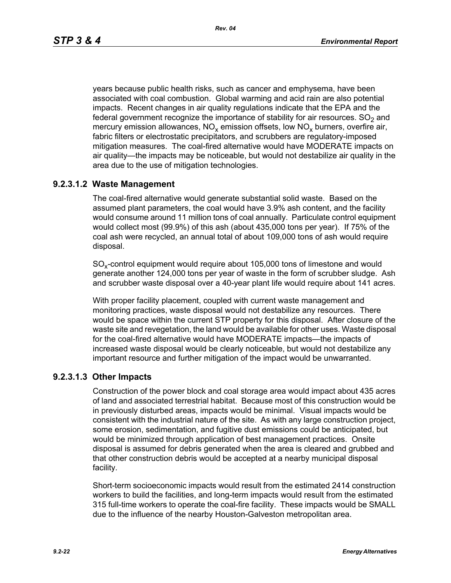years because public health risks, such as cancer and emphysema, have been associated with coal combustion. Global warming and acid rain are also potential impacts. Recent changes in air quality regulations indicate that the EPA and the federal government recognize the importance of stability for air resources.  $SO<sub>2</sub>$  and mercury emission allowances,  $NO_x$  emission offsets, low  $NO_x$  burners, overfire air, fabric filters or electrostatic precipitators, and scrubbers are regulatory-imposed mitigation measures. The coal-fired alternative would have MODERATE impacts on air quality—the impacts may be noticeable, but would not destabilize air quality in the area due to the use of mitigation technologies.

# **9.2.3.1.2 Waste Management**

The coal-fired alternative would generate substantial solid waste. Based on the assumed plant parameters, the coal would have 3.9% ash content, and the facility would consume around 11 million tons of coal annually. Particulate control equipment would collect most (99.9%) of this ash (about 435,000 tons per year). If 75% of the coal ash were recycled, an annual total of about 109,000 tons of ash would require disposal.

SO<sub>y</sub>-control equipment would require about 105,000 tons of limestone and would generate another 124,000 tons per year of waste in the form of scrubber sludge. Ash and scrubber waste disposal over a 40-year plant life would require about 141 acres.

With proper facility placement, coupled with current waste management and monitoring practices, waste disposal would not destabilize any resources. There would be space within the current STP property for this disposal. After closure of the waste site and revegetation, the land would be available for other uses. Waste disposal for the coal-fired alternative would have MODERATE impacts—the impacts of increased waste disposal would be clearly noticeable, but would not destabilize any important resource and further mitigation of the impact would be unwarranted.

# **9.2.3.1.3 Other Impacts**

Construction of the power block and coal storage area would impact about 435 acres of land and associated terrestrial habitat. Because most of this construction would be in previously disturbed areas, impacts would be minimal. Visual impacts would be consistent with the industrial nature of the site. As with any large construction project, some erosion, sedimentation, and fugitive dust emissions could be anticipated, but would be minimized through application of best management practices. Onsite disposal is assumed for debris generated when the area is cleared and grubbed and that other construction debris would be accepted at a nearby municipal disposal facility.

Short-term socioeconomic impacts would result from the estimated 2414 construction workers to build the facilities, and long-term impacts would result from the estimated 315 full-time workers to operate the coal-fire facility. These impacts would be SMALL due to the influence of the nearby Houston-Galveston metropolitan area.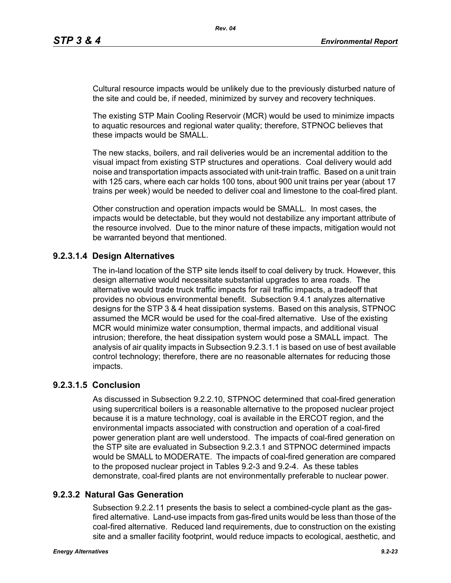Cultural resource impacts would be unlikely due to the previously disturbed nature of the site and could be, if needed, minimized by survey and recovery techniques.

The existing STP Main Cooling Reservoir (MCR) would be used to minimize impacts to aquatic resources and regional water quality; therefore, STPNOC believes that these impacts would be SMALL.

The new stacks, boilers, and rail deliveries would be an incremental addition to the visual impact from existing STP structures and operations. Coal delivery would add noise and transportation impacts associated with unit-train traffic. Based on a unit train with 125 cars, where each car holds 100 tons, about 900 unit trains per year (about 17 trains per week) would be needed to deliver coal and limestone to the coal-fired plant.

Other construction and operation impacts would be SMALL. In most cases, the impacts would be detectable, but they would not destabilize any important attribute of the resource involved. Due to the minor nature of these impacts, mitigation would not be warranted beyond that mentioned.

# **9.2.3.1.4 Design Alternatives**

The in-land location of the STP site lends itself to coal delivery by truck. However, this design alternative would necessitate substantial upgrades to area roads. The alternative would trade truck traffic impacts for rail traffic impacts, a tradeoff that provides no obvious environmental benefit. Subsection 9.4.1 analyzes alternative designs for the STP 3 & 4 heat dissipation systems. Based on this analysis, STPNOC assumed the MCR would be used for the coal-fired alternative. Use of the existing MCR would minimize water consumption, thermal impacts, and additional visual intrusion; therefore, the heat dissipation system would pose a SMALL impact. The analysis of air quality impacts in Subsection 9.2.3.1.1 is based on use of best available control technology; therefore, there are no reasonable alternates for reducing those impacts.

# **9.2.3.1.5 Conclusion**

As discussed in Subsection 9.2.2.10, STPNOC determined that coal-fired generation using supercritical boilers is a reasonable alternative to the proposed nuclear project because it is a mature technology, coal is available in the ERCOT region, and the environmental impacts associated with construction and operation of a coal-fired power generation plant are well understood. The impacts of coal-fired generation on the STP site are evaluated in Subsection 9.2.3.1 and STPNOC determined impacts would be SMALL to MODERATE. The impacts of coal-fired generation are compared to the proposed nuclear project in Tables 9.2-3 and 9.2-4. As these tables demonstrate, coal-fired plants are not environmentally preferable to nuclear power.

# **9.2.3.2 Natural Gas Generation**

Subsection 9.2.2.11 presents the basis to select a combined-cycle plant as the gasfired alternative. Land-use impacts from gas-fired units would be less than those of the coal-fired alternative. Reduced land requirements, due to construction on the existing site and a smaller facility footprint, would reduce impacts to ecological, aesthetic, and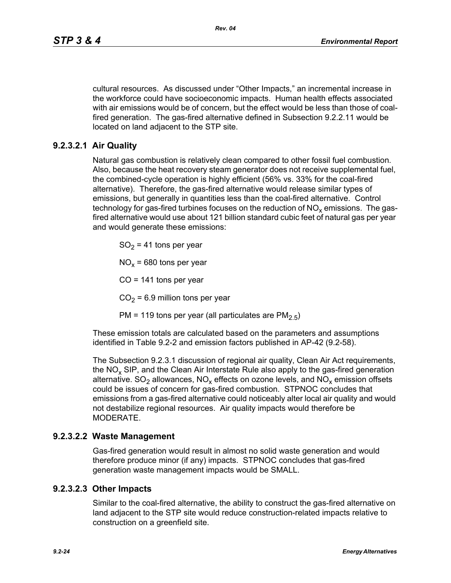cultural resources. As discussed under "Other Impacts," an incremental increase in the workforce could have socioeconomic impacts. Human health effects associated with air emissions would be of concern, but the effect would be less than those of coalfired generation. The gas-fired alternative defined in Subsection 9.2.2.11 would be located on land adjacent to the STP site.

# **9.2.3.2.1 Air Quality**

Natural gas combustion is relatively clean compared to other fossil fuel combustion. Also, because the heat recovery steam generator does not receive supplemental fuel, the combined-cycle operation is highly efficient (56% vs. 33% for the coal-fired alternative). Therefore, the gas-fired alternative would release similar types of emissions, but generally in quantities less than the coal-fired alternative. Control technology for gas-fired turbines focuses on the reduction of  $NO<sub>x</sub>$  emissions. The gasfired alternative would use about 121 billion standard cubic feet of natural gas per year and would generate these emissions:

 $SO<sub>2</sub> = 41$  tons per year

 $NO<sub>x</sub>$  = 680 tons per year

 $CO = 141$  tons per year

 $CO<sub>2</sub> = 6.9$  million tons per year

PM = 119 tons per year (all particulates are  $PM<sub>2.5</sub>$ )

These emission totals are calculated based on the parameters and assumptions identified in Table 9.2-2 and emission factors published in AP-42 (9.2-58).

The Subsection 9.2.3.1 discussion of regional air quality, Clean Air Act requirements, the  $NO<sub>x</sub>$  SIP, and the Clean Air Interstate Rule also apply to the gas-fired generation alternative.  $SO_2$  allowances,  $NO_x$  effects on ozone levels, and  $NO_x$  emission offsets could be issues of concern for gas-fired combustion. STPNOC concludes that emissions from a gas-fired alternative could noticeably alter local air quality and would not destabilize regional resources. Air quality impacts would therefore be MODERATE.

## **9.2.3.2.2 Waste Management**

Gas-fired generation would result in almost no solid waste generation and would therefore produce minor (if any) impacts. STPNOC concludes that gas-fired generation waste management impacts would be SMALL.

## **9.2.3.2.3 Other Impacts**

Similar to the coal-fired alternative, the ability to construct the gas-fired alternative on land adjacent to the STP site would reduce construction-related impacts relative to construction on a greenfield site.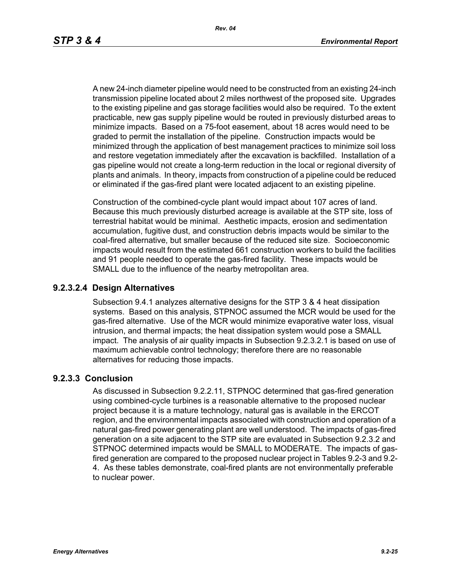A new 24-inch diameter pipeline would need to be constructed from an existing 24-inch transmission pipeline located about 2 miles northwest of the proposed site. Upgrades to the existing pipeline and gas storage facilities would also be required. To the extent practicable, new gas supply pipeline would be routed in previously disturbed areas to minimize impacts. Based on a 75-foot easement, about 18 acres would need to be graded to permit the installation of the pipeline. Construction impacts would be minimized through the application of best management practices to minimize soil loss and restore vegetation immediately after the excavation is backfilled. Installation of a gas pipeline would not create a long-term reduction in the local or regional diversity of plants and animals. In theory, impacts from construction of a pipeline could be reduced or eliminated if the gas-fired plant were located adjacent to an existing pipeline.

Construction of the combined-cycle plant would impact about 107 acres of land. Because this much previously disturbed acreage is available at the STP site, loss of terrestrial habitat would be minimal. Aesthetic impacts, erosion and sedimentation accumulation, fugitive dust, and construction debris impacts would be similar to the coal-fired alternative, but smaller because of the reduced site size. Socioeconomic impacts would result from the estimated 661 construction workers to build the facilities and 91 people needed to operate the gas-fired facility. These impacts would be SMALL due to the influence of the nearby metropolitan area.

## **9.2.3.2.4 Design Alternatives**

Subsection 9.4.1 analyzes alternative designs for the STP 3 & 4 heat dissipation systems. Based on this analysis, STPNOC assumed the MCR would be used for the gas-fired alternative. Use of the MCR would minimize evaporative water loss, visual intrusion, and thermal impacts; the heat dissipation system would pose a SMALL impact. The analysis of air quality impacts in Subsection 9.2.3.2.1 is based on use of maximum achievable control technology; therefore there are no reasonable alternatives for reducing those impacts.

## **9.2.3.3 Conclusion**

As discussed in Subsection 9.2.2.11, STPNOC determined that gas-fired generation using combined-cycle turbines is a reasonable alternative to the proposed nuclear project because it is a mature technology, natural gas is available in the ERCOT region, and the environmental impacts associated with construction and operation of a natural gas-fired power generating plant are well understood. The impacts of gas-fired generation on a site adjacent to the STP site are evaluated in Subsection 9.2.3.2 and STPNOC determined impacts would be SMALL to MODERATE. The impacts of gasfired generation are compared to the proposed nuclear project in Tables 9.2-3 and 9.2- 4. As these tables demonstrate, coal-fired plants are not environmentally preferable to nuclear power.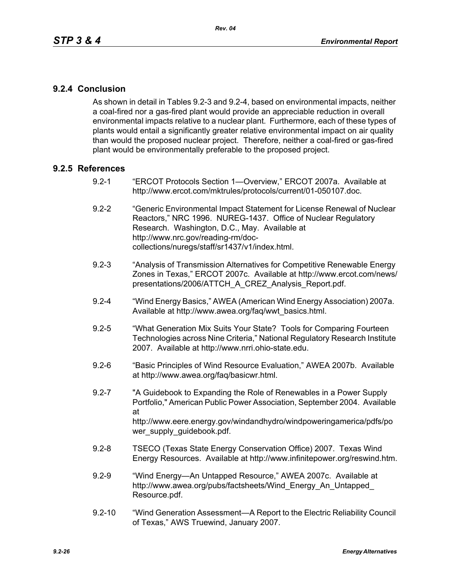# **9.2.4 Conclusion**

As shown in detail in Tables 9.2-3 and 9.2-4, based on environmental impacts, neither a coal-fired nor a gas-fired plant would provide an appreciable reduction in overall environmental impacts relative to a nuclear plant. Furthermore, each of these types of plants would entail a significantly greater relative environmental impact on air quality than would the proposed nuclear project. Therefore, neither a coal-fired or gas-fired plant would be environmentally preferable to the proposed project.

## **9.2.5 References**

- 9.2-1 "ERCOT Protocols Section 1—Overview," ERCOT 2007a. Available at http://www.ercot.com/mktrules/protocols/current/01-050107.doc.
- 9.2-2 "Generic Environmental Impact Statement for License Renewal of Nuclear Reactors," NRC 1996. NUREG-1437. Office of Nuclear Regulatory Research. Washington, D.C., May. Available at http://www.nrc.gov/reading-rm/doccollections/nuregs/staff/sr1437/v1/index.html.
- 9.2-3 "Analysis of Transmission Alternatives for Competitive Renewable Energy Zones in Texas," ERCOT 2007c. Available at http://www.ercot.com/news/ presentations/2006/ATTCH\_A\_CREZ\_Analysis\_Report.pdf.
- 9.2-4 "Wind Energy Basics," AWEA (American Wind Energy Association) 2007a. Available at http://www.awea.org/faq/wwt\_basics.html.
- 9.2-5 "What Generation Mix Suits Your State? Tools for Comparing Fourteen Technologies across Nine Criteria," National Regulatory Research Institute 2007. Available at http://www.nrri.ohio-state.edu.
- 9.2-6 "Basic Principles of Wind Resource Evaluation," AWEA 2007b. Available at http://www.awea.org/faq/basicwr.html.
- 9.2-7 "A Guidebook to Expanding the Role of Renewables in a Power Supply Portfolio," American Public Power Association, September 2004. Available at http://www.eere.energy.gov/windandhydro/windpoweringamerica/pdfs/po wer\_supply\_guidebook.pdf.
- 9.2-8 TSECO (Texas State Energy Conservation Office) 2007. Texas Wind Energy Resources. Available at http://www.infinitepower.org/reswind.htm.
- 9.2-9 "Wind Energy—An Untapped Resource," AWEA 2007c. Available at http://www.awea.org/pubs/factsheets/Wind\_Energy\_An\_Untapped\_ Resource.pdf.
- 9.2-10 "Wind Generation Assessment—A Report to the Electric Reliability Council of Texas," AWS Truewind, January 2007.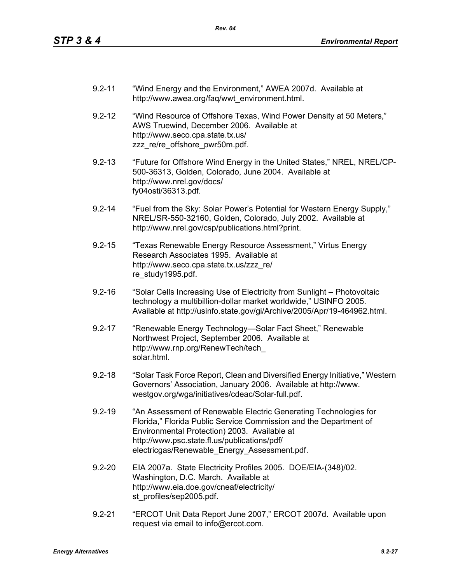- 9.2-11 "Wind Energy and the Environment," AWEA 2007d. Available at http://www.awea.org/faq/wwt\_environment.html.
- 9.2-12 "Wind Resource of Offshore Texas, Wind Power Density at 50 Meters," AWS Truewind, December 2006. Available at http://www.seco.cpa.state.tx.us/ zzz\_re/re\_offshore\_pwr50m.pdf.
- 9.2-13 "Future for Offshore Wind Energy in the United States," NREL, NREL/CP-500-36313, Golden, Colorado, June 2004. Available at http://www.nrel.gov/docs/ fy04osti/36313.pdf.
- 9.2-14 "Fuel from the Sky: Solar Power's Potential for Western Energy Supply," NREL/SR-550-32160, Golden, Colorado, July 2002. Available at http://www.nrel.gov/csp/publications.html?print.
- 9.2-15 "Texas Renewable Energy Resource Assessment," Virtus Energy Research Associates 1995. Available at http://www.seco.cpa.state.tx.us/zzz\_re/ re\_study1995.pdf.
- 9.2-16 "Solar Cells Increasing Use of Electricity from Sunlight Photovoltaic technology a multibillion-dollar market worldwide," USINFO 2005. Available at http://usinfo.state.gov/gi/Archive/2005/Apr/19-464962.html.
- 9.2-17 "Renewable Energy Technology—Solar Fact Sheet," Renewable Northwest Project, September 2006. Available at http://www.rnp.org/RenewTech/tech\_ solar.html.
- 9.2-18 "Solar Task Force Report, Clean and Diversified Energy Initiative," Western Governors' Association, January 2006. Available at http://www. westgov.org/wga/initiatives/cdeac/Solar-full.pdf.
- 9.2-19 "An Assessment of Renewable Electric Generating Technologies for Florida," Florida Public Service Commission and the Department of Environmental Protection) 2003. Available at http://www.psc.state.fl.us/publications/pdf/ electricgas/Renewable\_Energy\_Assessment.pdf.
- 9.2-20 EIA 2007a. State Electricity Profiles 2005. DOE/EIA-(348)/02. Washington, D.C. March. Available at http://www.eia.doe.gov/cneaf/electricity/ st\_profiles/sep2005.pdf.
- 9.2-21 "ERCOT Unit Data Report June 2007," ERCOT 2007d. Available upon request via email to info@ercot.com.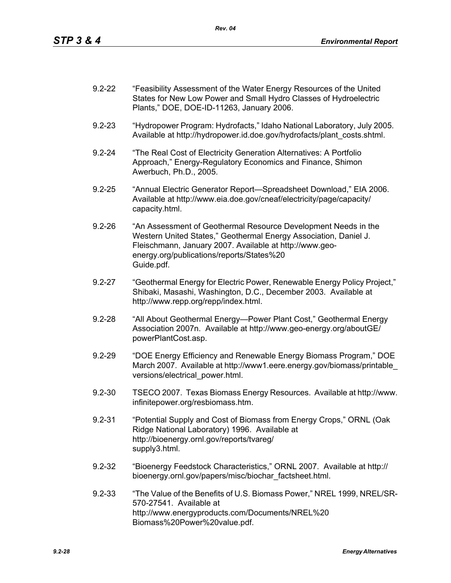| $9.2 - 22$ | "Feasibility Assessment of the Water Energy Resources of the United |
|------------|---------------------------------------------------------------------|
|            | States for New Low Power and Small Hydro Classes of Hydroelectric   |
|            | Plants," DOE, DOE-ID-11263, January 2006.                           |

- 9.2-23 "Hydropower Program: Hydrofacts," Idaho National Laboratory, July 2005. Available at http://hydropower.id.doe.gov/hydrofacts/plant\_costs.shtml.
- 9.2-24 "The Real Cost of Electricity Generation Alternatives: A Portfolio Approach," Energy-Regulatory Economics and Finance, Shimon Awerbuch, Ph.D., 2005.
- 9.2-25 "Annual Electric Generator Report—Spreadsheet Download," EIA 2006. Available at http://www.eia.doe.gov/cneaf/electricity/page/capacity/ capacity.html.
- 9.2-26 "An Assessment of Geothermal Resource Development Needs in the Western United States," Geothermal Energy Association, Daniel J. Fleischmann, January 2007. Available at http://www.geoenergy.org/publications/reports/States%20 Guide.pdf.
- 9.2-27 "Geothermal Energy for Electric Power, Renewable Energy Policy Project," Shibaki, Masashi, Washington, D.C., December 2003. Available at http://www.repp.org/repp/index.html.
- 9.2-28 "All About Geothermal Energy—Power Plant Cost," Geothermal Energy Association 2007n. Available at http://www.geo-energy.org/aboutGE/ powerPlantCost.asp.
- 9.2-29 "DOE Energy Efficiency and Renewable Energy Biomass Program," DOE March 2007. Available at http://www1.eere.energy.gov/biomass/printable\_ versions/electrical\_power.html.
- 9.2-30 TSECO 2007. Texas Biomass Energy Resources. Available at http://www. infinitepower.org/resbiomass.htm.
- 9.2-31 "Potential Supply and Cost of Biomass from Energy Crops," ORNL (Oak Ridge National Laboratory) 1996. Available at http://bioenergy.ornl.gov/reports/tvareg/ supply3.html.
- 9.2-32 "Bioenergy Feedstock Characteristics," ORNL 2007. Available at http:// bioenergy.ornl.gov/papers/misc/biochar\_factsheet.html.
- 9.2-33 "The Value of the Benefits of U.S. Biomass Power," NREL 1999, NREL/SR-570-27541. Available at http://www.energyproducts.com/Documents/NREL%20 Biomass%20Power%20value.pdf.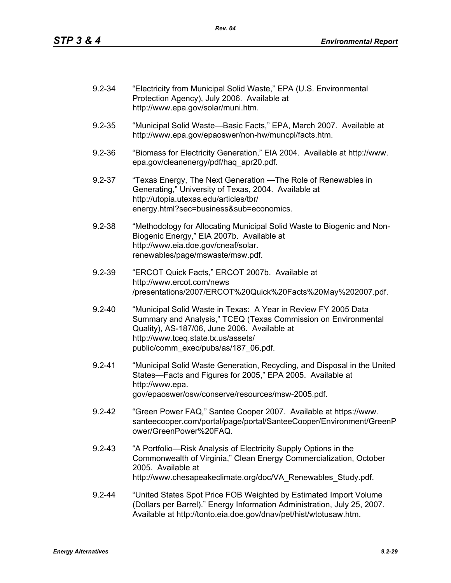| $9.2 - 34$ | "Electricity from Municipal Solid Waste," EPA (U.S. Environmental<br>Protection Agency), July 2006. Available at<br>http://www.epa.gov/solar/muni.htm.                                                                                                          |
|------------|-----------------------------------------------------------------------------------------------------------------------------------------------------------------------------------------------------------------------------------------------------------------|
| $9.2 - 35$ | "Municipal Solid Waste-Basic Facts," EPA, March 2007. Available at<br>http://www.epa.gov/epaoswer/non-hw/muncpl/facts.htm.                                                                                                                                      |
| $9.2 - 36$ | "Biomass for Electricity Generation," EIA 2004. Available at http://www.<br>epa.gov/cleanenergy/pdf/haq apr20.pdf.                                                                                                                                              |
| $9.2 - 37$ | "Texas Energy, The Next Generation — The Role of Renewables in<br>Generating," University of Texas, 2004. Available at<br>http://utopia.utexas.edu/articles/tbr/<br>energy.html?sec=business⊂=economics.                                                        |
| $9.2 - 38$ | "Methodology for Allocating Municipal Solid Waste to Biogenic and Non-<br>Biogenic Energy," EIA 2007b. Available at<br>http://www.eia.doe.gov/cneaf/solar.<br>renewables/page/mswaste/msw.pdf.                                                                  |
| $9.2 - 39$ | "ERCOT Quick Facts," ERCOT 2007b. Available at<br>http://www.ercot.com/news<br>/presentations/2007/ERCOT%20Quick%20Facts%20May%202007.pdf.                                                                                                                      |
| $9.2 - 40$ | "Municipal Solid Waste in Texas: A Year in Review FY 2005 Data<br>Summary and Analysis," TCEQ (Texas Commission on Environmental<br>Quality), AS-187/06, June 2006. Available at<br>http://www.tceq.state.tx.us/assets/<br>public/comm_exec/pubs/as/187_06.pdf. |
| $9.2 - 41$ | "Municipal Solid Waste Generation, Recycling, and Disposal in the United<br>States-Facts and Figures for 2005," EPA 2005. Available at<br>http://www.epa.<br>gov/epaoswer/osw/conserve/resources/msw-2005.pdf.                                                  |
| $9.2 - 42$ | "Green Power FAQ," Santee Cooper 2007. Available at https://www.<br>santeecooper.com/portal/page/portal/SanteeCooper/Environment/GreenP<br>ower/GreenPower%20FAQ.                                                                                               |
| $9.2 - 43$ | "A Portfolio—Risk Analysis of Electricity Supply Options in the<br>Commonwealth of Virginia," Clean Energy Commercialization, October<br>2005. Available at<br>http://www.chesapeakeclimate.org/doc/VA Renewables Study.pdf.                                    |
| $9.2 - 44$ | "United States Spot Price FOB Weighted by Estimated Import Volume<br>(Dollars per Barrel)." Energy Information Administration, July 25, 2007.<br>Available at http://tonto.eia.doe.gov/dnav/pet/hist/wtotusaw.htm.                                              |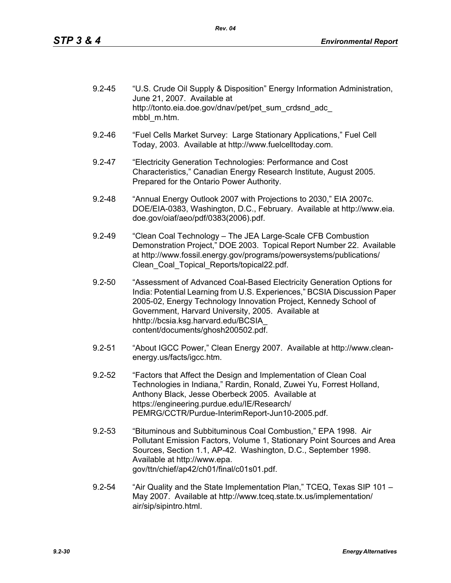| $9.2 - 45$ | "U.S. Crude Oil Supply & Disposition" Energy Information Administration,<br>June 21, 2007. Available at |
|------------|---------------------------------------------------------------------------------------------------------|
|            | http://tonto.eia.doe.gov/dnav/pet/pet sum crdsnd adc<br>mbbl m.htm.                                     |

- 9.2-46 "Fuel Cells Market Survey: Large Stationary Applications," Fuel Cell Today, 2003. Available at http://www.fuelcelltoday.com.
- 9.2-47 "Electricity Generation Technologies: Performance and Cost Characteristics," Canadian Energy Research Institute, August 2005. Prepared for the Ontario Power Authority.
- 9.2-48 "Annual Energy Outlook 2007 with Projections to 2030," EIA 2007c. DOE/EIA-0383, Washington, D.C., February. Available at http://www.eia. doe.gov/oiaf/aeo/pdf/0383(2006).pdf.
- 9.2-49 "Clean Coal Technology The JEA Large-Scale CFB Combustion Demonstration Project," DOE 2003. Topical Report Number 22. Available at http://www.fossil.energy.gov/programs/powersystems/publications/ Clean\_Coal\_Topical\_Reports/topical22.pdf.
- 9.2-50 "Assessment of Advanced Coal-Based Electricity Generation Options for India: Potential Learning from U.S. Experiences," BCSIA Discussion Paper 2005-02, Energy Technology Innovation Project, Kennedy School of Government, Harvard University, 2005. Available at hhttp://bcsia.ksg.harvard.edu/BCSIA\_ content/documents/ghosh200502.pdf.
- 9.2-51 "About IGCC Power," Clean Energy 2007. Available at http://www.cleanenergy.us/facts/igcc.htm.
- 9.2-52 "Factors that Affect the Design and Implementation of Clean Coal Technologies in Indiana," Rardin, Ronald, Zuwei Yu, Forrest Holland, Anthony Black, Jesse Oberbeck 2005. Available at https://engineering.purdue.edu/IE/Research/ PEMRG/CCTR/Purdue-InterimReport-Jun10-2005.pdf.
- 9.2-53 "Bituminous and Subbituminous Coal Combustion," EPA 1998. Air Pollutant Emission Factors, Volume 1, Stationary Point Sources and Area Sources, Section 1.1, AP-42. Washington, D.C., September 1998. Available at http://www.epa. gov/ttn/chief/ap42/ch01/final/c01s01.pdf.
- 9.2-54 "Air Quality and the State Implementation Plan," TCEQ, Texas SIP 101 May 2007. Available at http://www.tceq.state.tx.us/implementation/ air/sip/sipintro.html.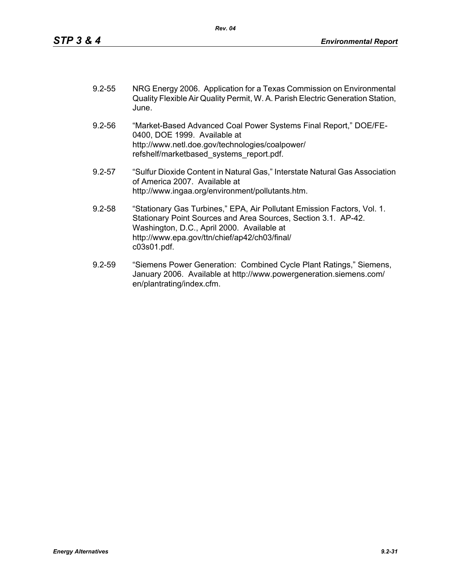| $9.2 - 55$ | NRG Energy 2006. Application for a Texas Commission on Environmental           |
|------------|--------------------------------------------------------------------------------|
|            | Quality Flexible Air Quality Permit, W. A. Parish Electric Generation Station, |
|            | June.                                                                          |

- 9.2-56 "Market-Based Advanced Coal Power Systems Final Report," DOE/FE-0400, DOE 1999. Available at http://www.netl.doe.gov/technologies/coalpower/ refshelf/marketbased\_systems\_report.pdf.
- 9.2-57 "Sulfur Dioxide Content in Natural Gas," Interstate Natural Gas Association of America 2007. Available at http://www.ingaa.org/environment/pollutants.htm.
- 9.2-58 "Stationary Gas Turbines," EPA, Air Pollutant Emission Factors, Vol. 1. Stationary Point Sources and Area Sources, Section 3.1. AP-42. Washington, D.C., April 2000. Available at http://www.epa.gov/ttn/chief/ap42/ch03/final/ c03s01.pdf.
- 9.2-59 "Siemens Power Generation: Combined Cycle Plant Ratings," Siemens, January 2006. Available at http://www.powergeneration.siemens.com/ en/plantrating/index.cfm.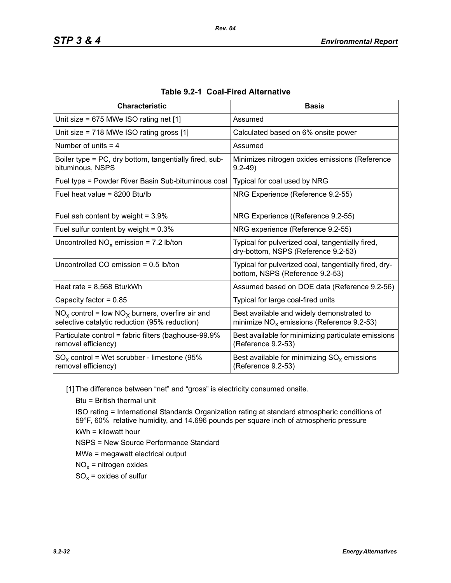| <b>Characteristic</b>                                                                                  | <b>Basis</b>                                                                              |
|--------------------------------------------------------------------------------------------------------|-------------------------------------------------------------------------------------------|
| Unit size = 675 MWe ISO rating net [1]                                                                 | Assumed                                                                                   |
| Unit size = 718 MWe ISO rating gross [1]                                                               | Calculated based on 6% onsite power                                                       |
| Number of units $=$ 4                                                                                  | Assumed                                                                                   |
| Boiler type = PC, dry bottom, tangentially fired, sub-<br>bituminous, NSPS                             | Minimizes nitrogen oxides emissions (Reference<br>$9.2 - 49$                              |
| Fuel type = Powder River Basin Sub-bituminous coal                                                     | Typical for coal used by NRG                                                              |
| Fuel heat value = 8200 Btu/lb                                                                          | NRG Experience (Reference 9.2-55)                                                         |
| Fuel ash content by weight = $3.9\%$                                                                   | NRG Experience ((Reference 9.2-55)                                                        |
| Fuel sulfur content by weight = $0.3\%$                                                                | NRG experience (Reference 9.2-55)                                                         |
| Uncontrolled $NO_x$ emission = 7.2 lb/ton                                                              | Typical for pulverized coal, tangentially fired,<br>dry-bottom, NSPS (Reference 9.2-53)   |
| Uncontrolled CO emission $= 0.5$ lb/ton                                                                | Typical for pulverized coal, tangentially fired, dry-<br>bottom, NSPS (Reference 9.2-53)  |
| Heat rate = $8,568$ Btu/kWh                                                                            | Assumed based on DOE data (Reference 9.2-56)                                              |
| Capacity factor = $0.85$                                                                               | Typical for large coal-fired units                                                        |
| $NO_x$ control = low $NO_x$ burners, overfire air and<br>selective catalytic reduction (95% reduction) | Best available and widely demonstrated to<br>minimize $NO_x$ emissions (Reference 9.2-53) |
| Particulate control = fabric filters (baghouse-99.9%<br>removal efficiency)                            | Best available for minimizing particulate emissions<br>(Reference 9.2-53)                 |
| $SO_x$ control = Wet scrubber - limestone (95%<br>removal efficiency)                                  | Best available for minimizing $SO_{x}$ emissions<br>(Reference 9.2-53)                    |

| Table 9.2-1 Coal-Fired Alternative |
|------------------------------------|
|------------------------------------|

[1] The difference between "net" and "gross" is electricity consumed onsite.

Btu = British thermal unit

ISO rating = International Standards Organization rating at standard atmospheric conditions of 59°F, 60% relative humidity, and 14.696 pounds per square inch of atmospheric pressure kWh = kilowatt hour

NSPS = New Source Performance Standard

MWe = megawatt electrical output

 $NO<sub>x</sub>$  = nitrogen oxides

 $SO_x =$  oxides of sulfur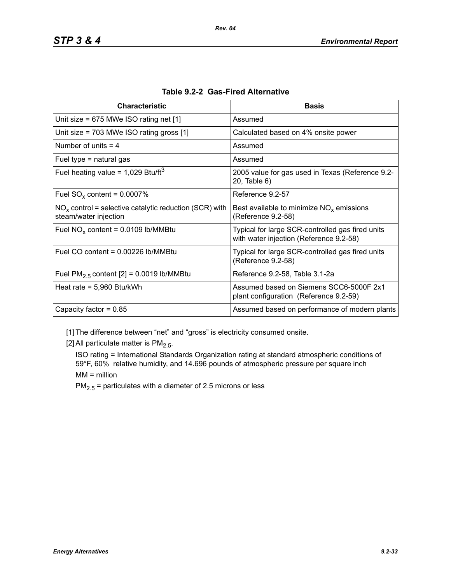| <b>Characteristic</b>                                                             | <b>Basis</b>                                                                                |
|-----------------------------------------------------------------------------------|---------------------------------------------------------------------------------------------|
| Unit size = $675$ MWe ISO rating net [1]                                          | Assumed                                                                                     |
| Unit size = $703$ MWe ISO rating gross [1]                                        | Calculated based on 4% onsite power                                                         |
| Number of units $=$ 4                                                             | Assumed                                                                                     |
| Fuel type $=$ natural gas                                                         | Assumed                                                                                     |
| Fuel heating value = $1,029$ Btu/ft <sup>3</sup>                                  | 2005 value for gas used in Texas (Reference 9.2-<br>20, Table 6)                            |
| Fuel $SO_x$ content = 0.0007%                                                     | Reference 9.2-57                                                                            |
| $NOx$ control = selective catalytic reduction (SCR) with<br>steam/water injection | Best available to minimize $NOx$ emissions<br>(Reference 9.2-58)                            |
| Fuel $NO_x$ content = 0.0109 lb/MMBtu                                             | Typical for large SCR-controlled gas fired units<br>with water injection (Reference 9.2-58) |
| Fuel CO content = $0.00226$ lb/MMBtu                                              | Typical for large SCR-controlled gas fired units<br>(Reference 9.2-58)                      |
| Fuel $PM2.5$ content [2] = 0.0019 lb/MMBtu                                        | Reference 9.2-58, Table 3.1-2a                                                              |
| Heat rate = $5,960$ Btu/kWh                                                       | Assumed based on Siemens SCC6-5000F 2x1<br>plant configuration (Reference 9.2-59)           |
| Capacity factor = $0.85$                                                          | Assumed based on performance of modern plants                                               |

[1] The difference between "net" and "gross" is electricity consumed onsite.

[2] All particulate matter is  $PM<sub>2.5</sub>$ .

ISO rating = International Standards Organization rating at standard atmospheric conditions of 59°F, 60% relative humidity, and 14.696 pounds of atmospheric pressure per square inch MM = million

 $PM_{2.5}$  = particulates with a diameter of 2.5 microns or less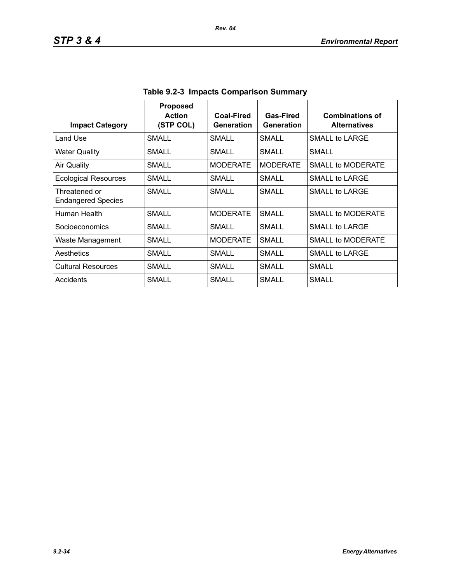| <b>Impact Category</b>                     | <b>Proposed</b><br><b>Action</b><br>(STP COL) | <b>Coal-Fired</b><br>Generation | <b>Gas-Fired</b><br>Generation | <b>Combinations of</b><br><b>Alternatives</b> |
|--------------------------------------------|-----------------------------------------------|---------------------------------|--------------------------------|-----------------------------------------------|
| Land Use                                   | <b>SMALL</b>                                  | SMALL                           | SMALL                          | SMALL to LARGE                                |
| <b>Water Quality</b>                       | SMALL                                         | <b>SMALL</b>                    | SMALL                          | SMALI                                         |
| <b>Air Quality</b>                         | SMALL                                         | <b>MODERATE</b>                 | <b>MODERATE</b>                | SMALL to MODERATE                             |
| <b>Ecological Resources</b>                | <b>SMALL</b>                                  | SMALL                           | SMALL                          | SMALL to LARGE                                |
| Threatened or<br><b>Endangered Species</b> | SMALL                                         | SMALL                           | SMALL                          | SMALL to LARGE                                |
| Human Health                               | <b>SMALL</b>                                  | <b>MODERATE</b>                 | <b>SMALL</b>                   | SMALL to MODERATE                             |
| Socioeconomics                             | <b>SMALL</b>                                  | <b>SMALL</b>                    | SMALL                          | SMALL to LARGE                                |
| Waste Management                           | SMALL                                         | <b>MODERATE</b>                 | SMALL                          | SMALL to MODERATE                             |
| Aesthetics                                 | SMALL                                         | SMALL                           | SMALL                          | SMALL to LARGE                                |
| <b>Cultural Resources</b>                  | <b>SMALL</b>                                  | SMALL                           | SMALL                          | SMALL                                         |
| Accidents                                  | SMALL                                         | SMALL                           | SMALL                          | SMALL                                         |

**Table 9.2-3 Impacts Comparison Summary**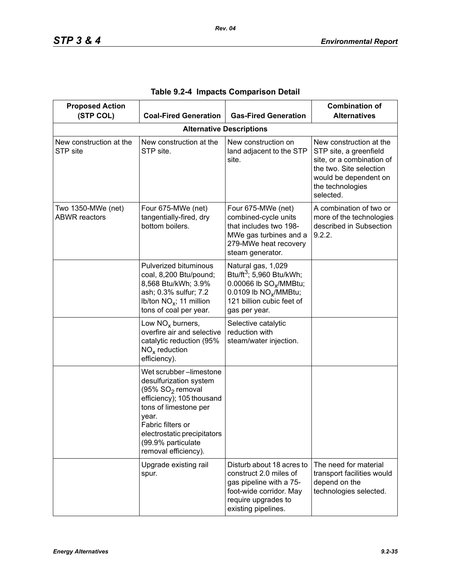| <b>Proposed Action</b><br>(STP COL)        | <b>Coal-Fired Generation</b>                                                                                                                                                                                                                      | <b>Gas-Fired Generation</b>                                                                                                                                                         | <b>Combination of</b><br><b>Alternatives</b>                                                                                                                        |  |  |
|--------------------------------------------|---------------------------------------------------------------------------------------------------------------------------------------------------------------------------------------------------------------------------------------------------|-------------------------------------------------------------------------------------------------------------------------------------------------------------------------------------|---------------------------------------------------------------------------------------------------------------------------------------------------------------------|--|--|
|                                            | <b>Alternative Descriptions</b>                                                                                                                                                                                                                   |                                                                                                                                                                                     |                                                                                                                                                                     |  |  |
| New construction at the<br>STP site        | New construction at the<br>STP site.                                                                                                                                                                                                              | New construction on<br>land adjacent to the STP<br>site.                                                                                                                            | New construction at the<br>STP site, a greenfield<br>site, or a combination of<br>the two. Site selection<br>would be dependent on<br>the technologies<br>selected. |  |  |
| Two 1350-MWe (net)<br><b>ABWR</b> reactors | Four 675-MWe (net)<br>tangentially-fired, dry<br>bottom boilers.                                                                                                                                                                                  | Four 675-MWe (net)<br>combined-cycle units<br>that includes two 198-<br>MWe gas turbines and a<br>279-MWe heat recovery<br>steam generator.                                         | A combination of two or<br>more of the technologies<br>described in Subsection<br>9.2.2.                                                                            |  |  |
|                                            | Pulverized bituminous<br>coal, 8,200 Btu/pound;<br>8,568 Btu/kWh; 3.9%<br>ash; 0.3% sulfur; 7.2<br>Ib/ton $NO_x$ ; 11 million<br>tons of coal per year.                                                                                           | Natural gas, 1,029<br>Btu/ft <sup>3</sup> ; 5,960 Btu/kWh;<br>0.00066 lb SO <sub>v</sub> /MMBtu;<br>0.0109 lb NO <sub>x</sub> /MMBtu;<br>121 billion cubic feet of<br>gas per year. |                                                                                                                                                                     |  |  |
|                                            | Low $NOx$ burners,<br>overfire air and selective<br>catalytic reduction (95%<br>$NOx$ reduction<br>efficiency).                                                                                                                                   | Selective catalytic<br>reduction with<br>steam/water injection.                                                                                                                     |                                                                                                                                                                     |  |  |
|                                            | Wet scrubber-limestone<br>desulfurization system<br>(95% SO <sub>2</sub> removal<br>efficiency); 105 thousand<br>tons of limestone per<br>year.<br>Fabric filters or<br>electrostatic precipitators<br>(99.9% particulate<br>removal efficiency). |                                                                                                                                                                                     |                                                                                                                                                                     |  |  |
|                                            | Upgrade existing rail<br>spur.                                                                                                                                                                                                                    | Disturb about 18 acres to<br>construct 2.0 miles of<br>gas pipeline with a 75-<br>foot-wide corridor. May<br>require upgrades to<br>existing pipelines.                             | The need for material<br>transport facilities would<br>depend on the<br>technologies selected.                                                                      |  |  |

|  |  |  | Table 9.2-4 Impacts Comparison Detail |  |
|--|--|--|---------------------------------------|--|
|--|--|--|---------------------------------------|--|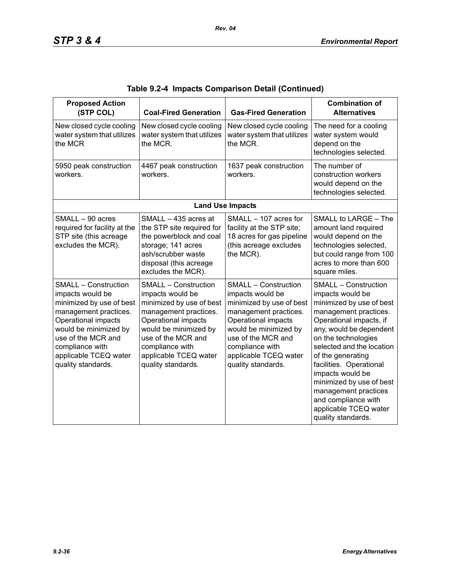| <b>Proposed Action</b><br>(STP COL)                                                                                                                                                                                                          | <b>Coal-Fired Generation</b>                                                                                                                                                                                                                 | <b>Gas-Fired Generation</b>                                                                                                                                                                                                                  | <b>Combination of</b><br><b>Alternatives</b>                                                                                                                                                                                                                                                                                                                                                                 |
|----------------------------------------------------------------------------------------------------------------------------------------------------------------------------------------------------------------------------------------------|----------------------------------------------------------------------------------------------------------------------------------------------------------------------------------------------------------------------------------------------|----------------------------------------------------------------------------------------------------------------------------------------------------------------------------------------------------------------------------------------------|--------------------------------------------------------------------------------------------------------------------------------------------------------------------------------------------------------------------------------------------------------------------------------------------------------------------------------------------------------------------------------------------------------------|
| New closed cycle cooling<br>water system that utilizes<br>the MCR                                                                                                                                                                            | New closed cycle cooling<br>water system that utilizes<br>the MCR.                                                                                                                                                                           | New closed cycle cooling<br>water system that utilizes<br>the MCR.                                                                                                                                                                           | The need for a cooling<br>water system would<br>depend on the<br>technologies selected.                                                                                                                                                                                                                                                                                                                      |
| 5950 peak construction<br>workers.                                                                                                                                                                                                           | 4467 peak construction<br>workers.                                                                                                                                                                                                           | 1637 peak construction<br>workers.                                                                                                                                                                                                           | The number of<br>construction workers<br>would depend on the<br>technologies selected.                                                                                                                                                                                                                                                                                                                       |
|                                                                                                                                                                                                                                              |                                                                                                                                                                                                                                              | <b>Land Use Impacts</b>                                                                                                                                                                                                                      |                                                                                                                                                                                                                                                                                                                                                                                                              |
| SMALL - 90 acres<br>required for facility at the<br>STP site (this acreage<br>excludes the MCR).                                                                                                                                             | SMALL - 435 acres at<br>the STP site required for<br>the powerblock and coal<br>storage; 141 acres<br>ash/scrubber waste<br>disposal (this acreage<br>excludes the MCR).                                                                     | SMALL - 107 acres for<br>facility at the STP site;<br>18 acres for gas pipeline<br>(this acreage excludes<br>the MCR).                                                                                                                       | SMALL to LARGE - The<br>amount land required<br>would depend on the<br>technologies selected,<br>but could range from 100<br>acres to more than 600<br>square miles.                                                                                                                                                                                                                                         |
| <b>SMALL - Construction</b><br>impacts would be<br>minimized by use of best<br>management practices.<br>Operational impacts<br>would be minimized by<br>use of the MCR and<br>compliance with<br>applicable TCEQ water<br>quality standards. | <b>SMALL - Construction</b><br>impacts would be<br>minimized by use of best<br>management practices.<br>Operational impacts<br>would be minimized by<br>use of the MCR and<br>compliance with<br>applicable TCEQ water<br>quality standards. | <b>SMALL - Construction</b><br>impacts would be<br>minimized by use of best<br>management practices.<br>Operational impacts<br>would be minimized by<br>use of the MCR and<br>compliance with<br>applicable TCEQ water<br>quality standards. | <b>SMALL - Construction</b><br>impacts would be<br>minimized by use of best<br>management practices.<br>Operational impacts, if<br>any, would be dependent<br>on the technologies<br>selected and the location<br>of the generating<br>facilities. Operational<br>impacts would be<br>minimized by use of best<br>management practices<br>and compliance with<br>applicable TCEQ water<br>quality standards. |

|  |  | Table 9.2-4  Impacts Comparison Detail (Continued) |  |  |
|--|--|----------------------------------------------------|--|--|
|--|--|----------------------------------------------------|--|--|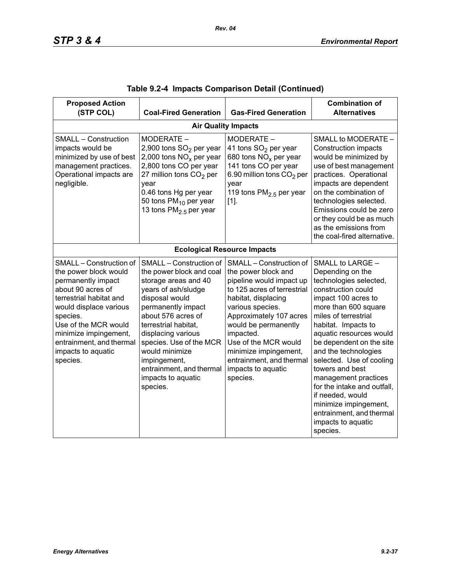| <b>Proposed Action</b><br>(STP COL)                                                                                                                                                                                                                                         | <b>Coal-Fired Generation</b>                                                                                                                                                                                                                                                                                                              | <b>Gas-Fired Generation</b>                                                                                                                                                                                                                                                                                                         | <b>Combination of</b><br><b>Alternatives</b>                                                                                                                                                                                                                                                                                                                                                                                                                                       |
|-----------------------------------------------------------------------------------------------------------------------------------------------------------------------------------------------------------------------------------------------------------------------------|-------------------------------------------------------------------------------------------------------------------------------------------------------------------------------------------------------------------------------------------------------------------------------------------------------------------------------------------|-------------------------------------------------------------------------------------------------------------------------------------------------------------------------------------------------------------------------------------------------------------------------------------------------------------------------------------|------------------------------------------------------------------------------------------------------------------------------------------------------------------------------------------------------------------------------------------------------------------------------------------------------------------------------------------------------------------------------------------------------------------------------------------------------------------------------------|
|                                                                                                                                                                                                                                                                             |                                                                                                                                                                                                                                                                                                                                           | <b>Air Quality Impacts</b>                                                                                                                                                                                                                                                                                                          |                                                                                                                                                                                                                                                                                                                                                                                                                                                                                    |
| <b>SMALL - Construction</b><br>impacts would be<br>minimized by use of best<br>management practices.<br>Operational impacts are<br>negligible.                                                                                                                              | MODERATE -<br>2,900 tons SO <sub>2</sub> per year<br>2,000 tons $NOx$ per year<br>2,800 tons CO per year<br>27 million tons $CO2$ per<br>year<br>0.46 tons Hg per year<br>50 tons $PM_{10}$ per year<br>13 tons $PM2.5$ per year                                                                                                          | MODERATE -<br>41 tons SO <sub>2</sub> per year<br>680 tons $NOx$ per year<br>141 tons CO per year<br>6.90 million tons CO <sub>2</sub> per<br>year<br>119 tons $PM2.5$ per year<br>$[1]$ .                                                                                                                                          | SMALL to MODERATE -<br><b>Construction impacts</b><br>would be minimized by<br>use of best management<br>practices. Operational<br>impacts are dependent<br>on the combination of<br>technologies selected.<br>Emissions could be zero<br>or they could be as much<br>as the emissions from<br>the coal-fired alternative.                                                                                                                                                         |
|                                                                                                                                                                                                                                                                             |                                                                                                                                                                                                                                                                                                                                           | <b>Ecological Resource Impacts</b>                                                                                                                                                                                                                                                                                                  |                                                                                                                                                                                                                                                                                                                                                                                                                                                                                    |
| SMALL - Construction of<br>the power block would<br>permanently impact<br>about 90 acres of<br>terrestrial habitat and<br>would displace various<br>species.<br>Use of the MCR would<br>minimize impingement,<br>entrainment, and thermal<br>impacts to aquatic<br>species. | SMALL - Construction of<br>the power block and coal<br>storage areas and 40<br>years of ash/sludge<br>disposal would<br>permanently impact<br>about 576 acres of<br>terrestrial habitat.<br>displacing various<br>species. Use of the MCR<br>would minimize<br>impingement,<br>entrainment, and thermal<br>impacts to aquatic<br>species. | SMALL - Construction of<br>the power block and<br>pipeline would impact up<br>to 125 acres of terrestrial<br>habitat, displacing<br>various species.<br>Approximately 107 acres<br>would be permanently<br>impacted.<br>Use of the MCR would<br>minimize impingement,<br>entrainment, and thermal<br>impacts to aquatic<br>species. | SMALL to LARGE -<br>Depending on the<br>technologies selected,<br>construction could<br>impact 100 acres to<br>more than 600 square<br>miles of terrestrial<br>habitat. Impacts to<br>aquatic resources would<br>be dependent on the site<br>and the technologies<br>selected. Use of cooling<br>towers and best<br>management practices<br>for the intake and outfall.<br>if needed, would<br>minimize impingement,<br>entrainment, and thermal<br>impacts to aquatic<br>species. |

|  |  | Table 9.2-4  Impacts Comparison Detail (Continued) |  |  |  |
|--|--|----------------------------------------------------|--|--|--|
|--|--|----------------------------------------------------|--|--|--|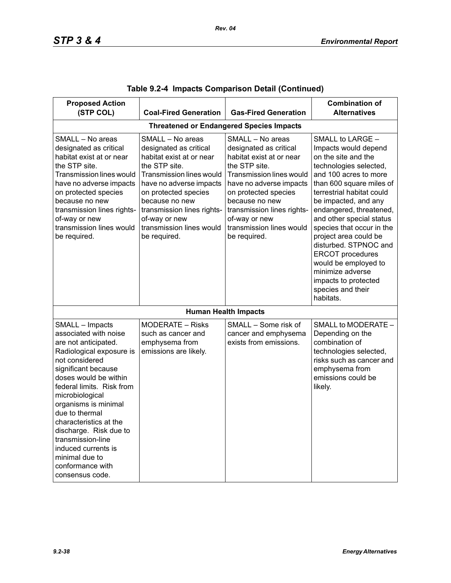| <b>Proposed Action</b><br>(STP COL)                                                                                                                                                                                                                                                                                                                                                                               | <b>Coal-Fired Generation</b>                                                                                                                                                                                                                                                        | <b>Gas-Fired Generation</b>                                                                                                                                                                                                                                                                | <b>Combination of</b><br><b>Alternatives</b>                                                                                                                                                                                                                                                                                                                                                                                                                               |  |  |
|-------------------------------------------------------------------------------------------------------------------------------------------------------------------------------------------------------------------------------------------------------------------------------------------------------------------------------------------------------------------------------------------------------------------|-------------------------------------------------------------------------------------------------------------------------------------------------------------------------------------------------------------------------------------------------------------------------------------|--------------------------------------------------------------------------------------------------------------------------------------------------------------------------------------------------------------------------------------------------------------------------------------------|----------------------------------------------------------------------------------------------------------------------------------------------------------------------------------------------------------------------------------------------------------------------------------------------------------------------------------------------------------------------------------------------------------------------------------------------------------------------------|--|--|
| <b>Threatened or Endangered Species Impacts</b>                                                                                                                                                                                                                                                                                                                                                                   |                                                                                                                                                                                                                                                                                     |                                                                                                                                                                                                                                                                                            |                                                                                                                                                                                                                                                                                                                                                                                                                                                                            |  |  |
| SMALL - No areas<br>designated as critical<br>habitat exist at or near<br>the STP site.<br><b>Transmission lines would</b><br>have no adverse impacts<br>on protected species<br>because no new<br>transmission lines rights-<br>of-way or new<br>transmission lines would<br>be required.                                                                                                                        | SMALL - No areas<br>designated as critical<br>habitat exist at or near<br>the STP site.<br>Transmission lines would<br>have no adverse impacts<br>on protected species<br>because no new<br>transmission lines rights-<br>of-way or new<br>transmission lines would<br>be required. | SMALL - No areas<br>designated as critical<br>habitat exist at or near<br>the STP site.<br><b>Transmission lines would</b><br>have no adverse impacts<br>on protected species<br>because no new<br>transmission lines rights-<br>of-way or new<br>transmission lines would<br>be required. | SMALL to LARGE -<br>Impacts would depend<br>on the site and the<br>technologies selected,<br>and 100 acres to more<br>than 600 square miles of<br>terrestrial habitat could<br>be impacted, and any<br>endangered, threatened,<br>and other special status<br>species that occur in the<br>project area could be<br>disturbed. STPNOC and<br><b>ERCOT</b> procedures<br>would be employed to<br>minimize adverse<br>impacts to protected<br>species and their<br>habitats. |  |  |
|                                                                                                                                                                                                                                                                                                                                                                                                                   |                                                                                                                                                                                                                                                                                     | <b>Human Health Impacts</b>                                                                                                                                                                                                                                                                |                                                                                                                                                                                                                                                                                                                                                                                                                                                                            |  |  |
| SMALL - Impacts<br>associated with noise<br>are not anticipated.<br>Radiological exposure is<br>not considered<br>significant because<br>doses would be within<br>federal limits. Risk from<br>microbiological<br>organisms is minimal<br>due to thermal<br>characteristics at the<br>discharge. Risk due to<br>transmission-line<br>induced currents is<br>minimal due to<br>conformance with<br>consensus code. | <b>MODERATE - Risks</b><br>such as cancer and<br>emphysema from<br>emissions are likely.                                                                                                                                                                                            | SMALL - Some risk of<br>cancer and emphysema<br>exists from emissions.                                                                                                                                                                                                                     | SMALL to MODERATE -<br>Depending on the<br>combination of<br>technologies selected,<br>risks such as cancer and<br>emphysema from<br>emissions could be<br>likely.                                                                                                                                                                                                                                                                                                         |  |  |

|  |  | Table 9.2-4  Impacts Comparison Detail (Continued) |  |  |  |
|--|--|----------------------------------------------------|--|--|--|
|--|--|----------------------------------------------------|--|--|--|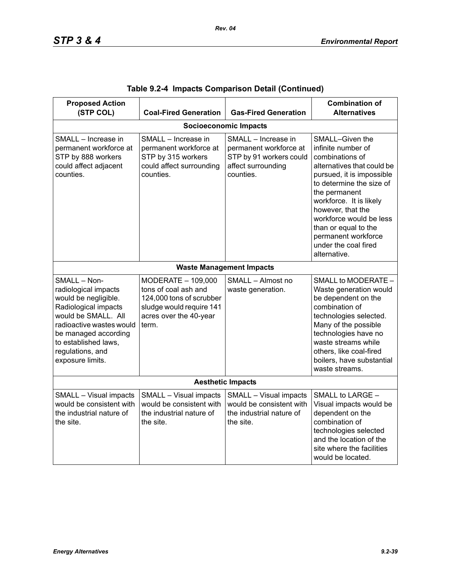| <b>Proposed Action</b><br>(STP COL)                                                                                                                                                                                             | <b>Coal-Fired Generation</b>                                                                                                          | <b>Gas-Fired Generation</b>                                                                                 | <b>Combination of</b><br><b>Alternatives</b>                                                                                                                                                                                                                                                                                       |  |  |  |  |
|---------------------------------------------------------------------------------------------------------------------------------------------------------------------------------------------------------------------------------|---------------------------------------------------------------------------------------------------------------------------------------|-------------------------------------------------------------------------------------------------------------|------------------------------------------------------------------------------------------------------------------------------------------------------------------------------------------------------------------------------------------------------------------------------------------------------------------------------------|--|--|--|--|
|                                                                                                                                                                                                                                 | <b>Socioeconomic Impacts</b>                                                                                                          |                                                                                                             |                                                                                                                                                                                                                                                                                                                                    |  |  |  |  |
| SMALL - Increase in<br>permanent workforce at<br>STP by 888 workers<br>could affect adjacent<br>counties.                                                                                                                       | SMALL - Increase in<br>permanent workforce at<br>STP by 315 workers<br>could affect surrounding<br>counties.                          | SMALL - Increase in<br>permanent workforce at<br>STP by 91 workers could<br>affect surrounding<br>counties. | SMALL-Given the<br>infinite number of<br>combinations of<br>alternatives that could be<br>pursued, it is impossible<br>to determine the size of<br>the permanent<br>workforce. It is likely<br>however, that the<br>workforce would be less<br>than or equal to the<br>permanent workforce<br>under the coal fired<br>alternative. |  |  |  |  |
|                                                                                                                                                                                                                                 |                                                                                                                                       | <b>Waste Management Impacts</b>                                                                             |                                                                                                                                                                                                                                                                                                                                    |  |  |  |  |
| SMALL - Non-<br>radiological impacts<br>would be negligible.<br>Radiological impacts<br>would be SMALL. All<br>radioactive wastes would<br>be managed according<br>to established laws,<br>regulations, and<br>exposure limits. | MODERATE - 109,000<br>tons of coal ash and<br>124,000 tons of scrubber<br>sludge would require 141<br>acres over the 40-year<br>term. | SMALL - Almost no<br>waste generation.                                                                      | SMALL to MODERATE -<br>Waste generation would<br>be dependent on the<br>combination of<br>technologies selected.<br>Many of the possible<br>technologies have no<br>waste streams while<br>others, like coal-fired<br>boilers, have substantial<br>waste streams.                                                                  |  |  |  |  |
| <b>Aesthetic Impacts</b>                                                                                                                                                                                                        |                                                                                                                                       |                                                                                                             |                                                                                                                                                                                                                                                                                                                                    |  |  |  |  |
| SMALL - Visual impacts<br>would be consistent with<br>the industrial nature of<br>the site.                                                                                                                                     | SMALL - Visual impacts<br>would be consistent with<br>the industrial nature of<br>the site.                                           | SMALL - Visual impacts<br>would be consistent with<br>the industrial nature of<br>the site.                 | SMALL to LARGE -<br>Visual impacts would be<br>dependent on the<br>combination of<br>technologies selected<br>and the location of the<br>site where the facilities<br>would be located.                                                                                                                                            |  |  |  |  |

|  |  | Table 9.2-4 Impacts Comparison Detail (Continued) |  |  |
|--|--|---------------------------------------------------|--|--|
|--|--|---------------------------------------------------|--|--|